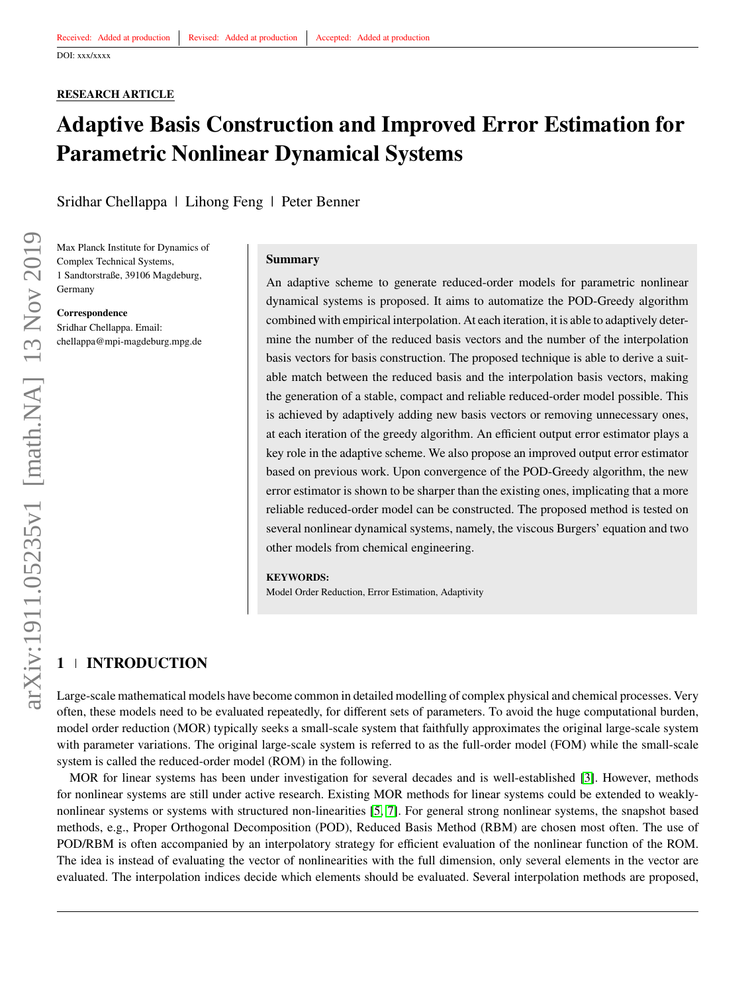## **RESEARCH ARTICLE**

# **Adaptive Basis Construction and Improved Error Estimation for Parametric Nonlinear Dynamical Systems**

Sridhar Chellappa | Lihong Feng | Peter Benner

Max Planck Institute for Dynamics of Complex Technical Systems, 1 Sandtorstraße, 39106 Magdeburg, Germany

**Correspondence** Sridhar Chellappa. Email: chellappa@mpi-magdeburg.mpg.de

#### **Summary**

An adaptive scheme to generate reduced-order models for parametric nonlinear dynamical systems is proposed. It aims to automatize the POD-Greedy algorithm combined with empirical interpolation. At each iteration, it is able to adaptively determine the number of the reduced basis vectors and the number of the interpolation basis vectors for basis construction. The proposed technique is able to derive a suitable match between the reduced basis and the interpolation basis vectors, making the generation of a stable, compact and reliable reduced-order model possible. This is achieved by adaptively adding new basis vectors or removing unnecessary ones, at each iteration of the greedy algorithm. An efficient output error estimator plays a key role in the adaptive scheme. We also propose an improved output error estimator based on previous work. Upon convergence of the POD-Greedy algorithm, the new error estimator is shown to be sharper than the existing ones, implicating that a more reliable reduced-order model can be constructed. The proposed method is tested on several nonlinear dynamical systems, namely, the viscous Burgers' equation and two other models from chemical engineering.

#### **KEYWORDS:**

Model Order Reduction, Error Estimation, Adaptivity

## **1 INTRODUCTION**

Large-scale mathematical models have become common in detailed modelling of complex physical and chemical processes. Very often, these models need to be evaluated repeatedly, for different sets of parameters. To avoid the huge computational burden, model order reduction (MOR) typically seeks a small-scale system that faithfully approximates the original large-scale system with parameter variations. The original large-scale system is referred to as the full-order model (FOM) while the small-scale system is called the reduced-order model (ROM) in the following.

MOR for linear systems has been under investigation for several decades and is well-established [\[3\]](#page-24-0). However, methods for nonlinear systems are still under active research. Existing MOR methods for linear systems could be extended to weaklynonlinear systems or systems with structured non-linearities [\[5,](#page-24-1) [7\]](#page-24-2). For general strong nonlinear systems, the snapshot based methods, e.g., Proper Orthogonal Decomposition (POD), Reduced Basis Method (RBM) are chosen most often. The use of POD/RBM is often accompanied by an interpolatory strategy for efficient evaluation of the nonlinear function of the ROM. The idea is instead of evaluating the vector of nonlinearities with the full dimension, only several elements in the vector are evaluated. The interpolation indices decide which elements should be evaluated. Several interpolation methods are proposed,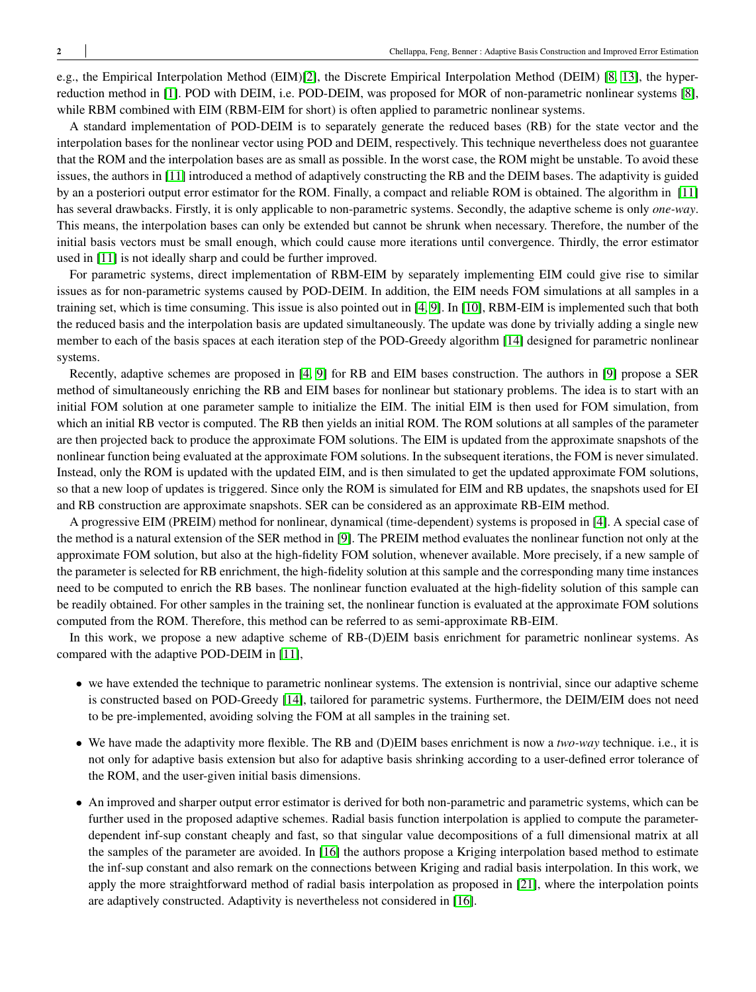e.g., the Empirical Interpolation Method (EIM)[\[2\]](#page-23-0), the Discrete Empirical Interpolation Method (DEIM) [\[8,](#page-24-3) [13\]](#page-24-4), the hyperreduction method in [\[1\]](#page-23-1). POD with DEIM, i.e. POD-DEIM, was proposed for MOR of non-parametric nonlinear systems [\[8\]](#page-24-3), while RBM combined with EIM (RBM-EIM for short) is often applied to parametric nonlinear systems.

A standard implementation of POD-DEIM is to separately generate the reduced bases (RB) for the state vector and the interpolation bases for the nonlinear vector using POD and DEIM, respectively. This technique nevertheless does not guarantee that the ROM and the interpolation bases are as small as possible. In the worst case, the ROM might be unstable. To avoid these issues, the authors in [\[11\]](#page-24-5) introduced a method of adaptively constructing the RB and the DEIM bases. The adaptivity is guided by an a posteriori output error estimator for the ROM. Finally, a compact and reliable ROM is obtained. The algorithm in [\[11\]](#page-24-5) has several drawbacks. Firstly, it is only applicable to non-parametric systems. Secondly, the adaptive scheme is only *one-way*. This means, the interpolation bases can only be extended but cannot be shrunk when necessary. Therefore, the number of the initial basis vectors must be small enough, which could cause more iterations until convergence. Thirdly, the error estimator used in [\[11\]](#page-24-5) is not ideally sharp and could be further improved.

For parametric systems, direct implementation of RBM-EIM by separately implementing EIM could give rise to similar issues as for non-parametric systems caused by POD-DEIM. In addition, the EIM needs FOM simulations at all samples in a training set, which is time consuming. This issue is also pointed out in [\[4,](#page-24-6) [9\]](#page-24-7). In [\[10\]](#page-24-8), RBM-EIM is implemented such that both the reduced basis and the interpolation basis are updated simultaneously. The update was done by trivially adding a single new member to each of the basis spaces at each iteration step of the POD-Greedy algorithm [\[14\]](#page-24-9) designed for parametric nonlinear systems.

Recently, adaptive schemes are proposed in [\[4,](#page-24-6) [9\]](#page-24-7) for RB and EIM bases construction. The authors in [\[9\]](#page-24-7) propose a SER method of simultaneously enriching the RB and EIM bases for nonlinear but stationary problems. The idea is to start with an initial FOM solution at one parameter sample to initialize the EIM. The initial EIM is then used for FOM simulation, from which an initial RB vector is computed. The RB then yields an initial ROM. The ROM solutions at all samples of the parameter are then projected back to produce the approximate FOM solutions. The EIM is updated from the approximate snapshots of the nonlinear function being evaluated at the approximate FOM solutions. In the subsequent iterations, the FOM is never simulated. Instead, only the ROM is updated with the updated EIM, and is then simulated to get the updated approximate FOM solutions, so that a new loop of updates is triggered. Since only the ROM is simulated for EIM and RB updates, the snapshots used for EI and RB construction are approximate snapshots. SER can be considered as an approximate RB-EIM method.

A progressive EIM (PREIM) method for nonlinear, dynamical (time-dependent) systems is proposed in [\[4\]](#page-24-6). A special case of the method is a natural extension of the SER method in [\[9\]](#page-24-7). The PREIM method evaluates the nonlinear function not only at the approximate FOM solution, but also at the high-fidelity FOM solution, whenever available. More precisely, if a new sample of the parameter is selected for RB enrichment, the high-fidelity solution at this sample and the corresponding many time instances need to be computed to enrich the RB bases. The nonlinear function evaluated at the high-fidelity solution of this sample can be readily obtained. For other samples in the training set, the nonlinear function is evaluated at the approximate FOM solutions computed from the ROM. Therefore, this method can be referred to as semi-approximate RB-EIM.

In this work, we propose a new adaptive scheme of RB-(D)EIM basis enrichment for parametric nonlinear systems. As compared with the adaptive POD-DEIM in [\[11\]](#page-24-5),

- we have extended the technique to parametric nonlinear systems. The extension is nontrivial, since our adaptive scheme is constructed based on POD-Greedy [\[14\]](#page-24-9), tailored for parametric systems. Furthermore, the DEIM/EIM does not need to be pre-implemented, avoiding solving the FOM at all samples in the training set.
- We have made the adaptivity more flexible. The RB and (D)EIM bases enrichment is now a *two-way* technique. i.e., it is not only for adaptive basis extension but also for adaptive basis shrinking according to a user-defined error tolerance of the ROM, and the user-given initial basis dimensions.
- An improved and sharper output error estimator is derived for both non-parametric and parametric systems, which can be further used in the proposed adaptive schemes. Radial basis function interpolation is applied to compute the parameterdependent inf-sup constant cheaply and fast, so that singular value decompositions of a full dimensional matrix at all the samples of the parameter are avoided. In [\[16\]](#page-24-10) the authors propose a Kriging interpolation based method to estimate the inf-sup constant and also remark on the connections between Kriging and radial basis interpolation. In this work, we apply the more straightforward method of radial basis interpolation as proposed in [\[21\]](#page-24-11), where the interpolation points are adaptively constructed. Adaptivity is nevertheless not considered in [\[16\]](#page-24-10).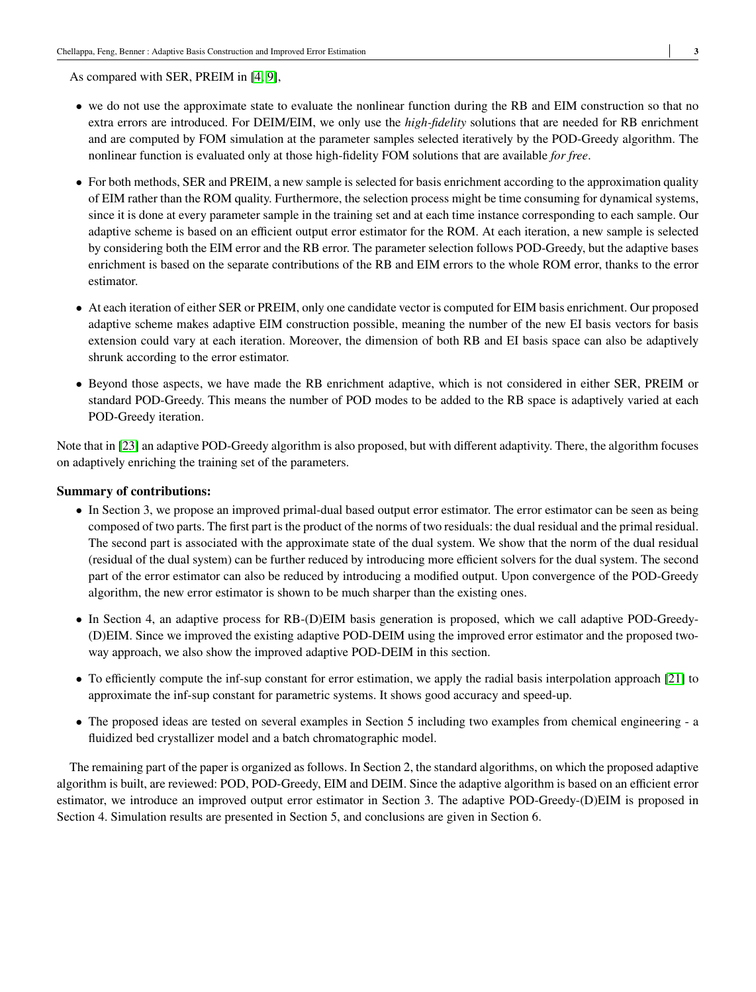As compared with SER, PREIM in [\[4,](#page-24-6) [9\]](#page-24-7),

- we do not use the approximate state to evaluate the nonlinear function during the RB and EIM construction so that no extra errors are introduced. For DEIM/EIM, we only use the *high-fidelity* solutions that are needed for RB enrichment and are computed by FOM simulation at the parameter samples selected iteratively by the POD-Greedy algorithm. The nonlinear function is evaluated only at those high-fidelity FOM solutions that are available *for free*.
- For both methods, SER and PREIM, a new sample is selected for basis enrichment according to the approximation quality of EIM rather than the ROM quality. Furthermore, the selection process might be time consuming for dynamical systems, since it is done at every parameter sample in the training set and at each time instance corresponding to each sample. Our adaptive scheme is based on an efficient output error estimator for the ROM. At each iteration, a new sample is selected by considering both the EIM error and the RB error. The parameter selection follows POD-Greedy, but the adaptive bases enrichment is based on the separate contributions of the RB and EIM errors to the whole ROM error, thanks to the error estimator.
- At each iteration of either SER or PREIM, only one candidate vector is computed for EIM basis enrichment. Our proposed adaptive scheme makes adaptive EIM construction possible, meaning the number of the new EI basis vectors for basis extension could vary at each iteration. Moreover, the dimension of both RB and EI basis space can also be adaptively shrunk according to the error estimator.
- Beyond those aspects, we have made the RB enrichment adaptive, which is not considered in either SER, PREIM or standard POD-Greedy. This means the number of POD modes to be added to the RB space is adaptively varied at each POD-Greedy iteration.

Note that in [\[23\]](#page-25-0) an adaptive POD-Greedy algorithm is also proposed, but with different adaptivity. There, the algorithm focuses on adaptively enriching the training set of the parameters.

#### **Summary of contributions:**

- In Section 3, we propose an improved primal-dual based output error estimator. The error estimator can be seen as being composed of two parts. The first part is the product of the norms of two residuals: the dual residual and the primal residual. The second part is associated with the approximate state of the dual system. We show that the norm of the dual residual (residual of the dual system) can be further reduced by introducing more efficient solvers for the dual system. The second part of the error estimator can also be reduced by introducing a modified output. Upon convergence of the POD-Greedy algorithm, the new error estimator is shown to be much sharper than the existing ones.
- In Section 4, an adaptive process for RB-(D)EIM basis generation is proposed, which we call adaptive POD-Greedy- (D)EIM. Since we improved the existing adaptive POD-DEIM using the improved error estimator and the proposed twoway approach, we also show the improved adaptive POD-DEIM in this section.
- To efficiently compute the inf-sup constant for error estimation, we apply the radial basis interpolation approach [\[21\]](#page-24-11) to approximate the inf-sup constant for parametric systems. It shows good accuracy and speed-up.
- The proposed ideas are tested on several examples in Section 5 including two examples from chemical engineering a fluidized bed crystallizer model and a batch chromatographic model.

The remaining part of the paper is organized as follows. In Section 2, the standard algorithms, on which the proposed adaptive algorithm is built, are reviewed: POD, POD-Greedy, EIM and DEIM. Since the adaptive algorithm is based on an efficient error estimator, we introduce an improved output error estimator in Section 3. The adaptive POD-Greedy-(D)EIM is proposed in Section 4. Simulation results are presented in Section 5, and conclusions are given in Section 6.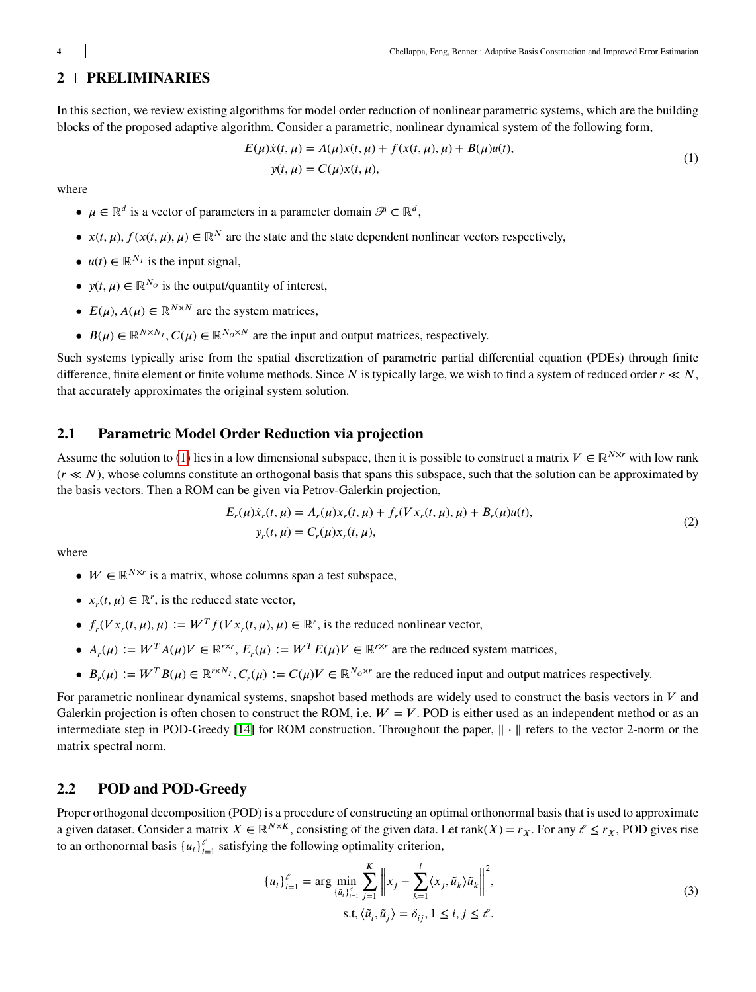## **2 PRELIMINARIES**

In this section, we review existing algorithms for model order reduction of nonlinear parametric systems, which are the building blocks of the proposed adaptive algorithm. Consider a parametric, nonlinear dynamical system of the following form,

<span id="page-3-0"></span>
$$
E(\mu)\dot{x}(t, \mu) = A(\mu)x(t, \mu) + f(x(t, \mu), \mu) + B(\mu)u(t),
$$
  

$$
y(t, \mu) = C(\mu)x(t, \mu),
$$
 (1)

where

- $\mu \in \mathbb{R}^d$  is a vector of parameters in a parameter domain  $\mathcal{P} \subset \mathbb{R}^d$ ,
- $x(t, \mu)$ ,  $f(x(t, \mu), \mu) \in \mathbb{R}^N$  are the state and the state dependent nonlinear vectors respectively,
- $u(t) \in \mathbb{R}^{N_I}$  is the input signal,
- $y(t, \mu) \in \mathbb{R}^{N_O}$  is the output/quantity of interest,
- $E(\mu)$ ,  $A(\mu) \in \mathbb{R}^{N \times N}$  are the system matrices,
- $B(\mu) \in \mathbb{R}^{N \times N_I}$ ,  $C(\mu) \in \mathbb{R}^{N_O \times N}$  are the input and output matrices, respectively.

Such systems typically arise from the spatial discretization of parametric partial differential equation (PDEs) through finite difference, finite element or finite volume methods. Since  $N$  is typically large, we wish to find a system of reduced order  $r \ll N$ , that accurately approximates the original system solution.

## **2.1 Parametric Model Order Reduction via projection**

Assume the solution to [\(1\)](#page-3-0) lies in a low dimensional subspace, then it is possible to construct a matrix  $V \in \mathbb{R}^{N \times r}$  with low rank (*𝑟 ≪ 𝑁*), whose columns constitute an orthogonal basis that spans this subspace, such that the solution can be approximated by the basis vectors. Then a ROM can be given via Petrov-Galerkin projection,

<span id="page-3-1"></span>
$$
E_r(\mu)\dot{x}_r(t,\mu) = A_r(\mu)x_r(t,\mu) + f_r(Vx_r(t,\mu),\mu) + B_r(\mu)u(t),
$$
  
\n
$$
y_r(t,\mu) = C_r(\mu)x_r(t,\mu),
$$
\n(2)

where

- $W \in \mathbb{R}^{N \times r}$  is a matrix, whose columns span a test subspace,
- $x_r(t, \mu) \in \mathbb{R}^r$ , is the reduced state vector,
- $f_r(Vx_r(t, \mu), \mu) := W^T f(Vx_r(t, \mu), \mu) \in \mathbb{R}^r$ , is the reduced nonlinear vector,
- $A_r(\mu) := W^T A(\mu) V \in \mathbb{R}^{r \times r}, E_r(\mu) := W^T E(\mu) V \in \mathbb{R}^{r \times r}$  are the reduced system matrices,
- $B_r(\mu) := W^T B(\mu) \in \mathbb{R}^{r \times N_I}, C_r(\mu) := C(\mu)V \in \mathbb{R}^{N_O \times r}$  are the reduced input and output matrices respectively.

For parametric nonlinear dynamical systems, snapshot based methods are widely used to construct the basis vectors in  $V$  and Galerkin projection is often chosen to construct the ROM, i.e.  $W = V$ . POD is either used as an independent method or as an intermediate step in POD-Greedy [\[14\]](#page-24-9) for ROM construction. Throughout the paper, ‖ ⋅ ‖ refers to the vector 2-norm or the matrix spectral norm.

#### **2.2 POD and POD-Greedy**

Proper orthogonal decomposition (POD) is a procedure of constructing an optimal orthonormal basis that is used to approximate a given dataset. Consider a matrix  $X \in \mathbb{R}^{N \times K}$ , consisting of the given data. Let rank(*X*) =  $r_X$ . For any  $\ell \leq r_X$ , POD gives rise to an orthonormal basis  $\{u_i\}_{i=1}^{\ell}$  satisfying the following optimality criterion,

$$
\{u_{i}\}_{i=1}^{\ell} = \arg \min_{\{\tilde{u}_{i}\}_{i=1}^{\ell}} \sum_{j=1}^{K} \left\|x_{j} - \sum_{k=1}^{l} \langle x_{j}, \tilde{u}_{k} \rangle \tilde{u}_{k} \right\|^{2},
$$
  
s.t,  $\langle \tilde{u}_{i}, \tilde{u}_{j} \rangle = \delta_{ij}, 1 \le i, j \le \ell.$  (3)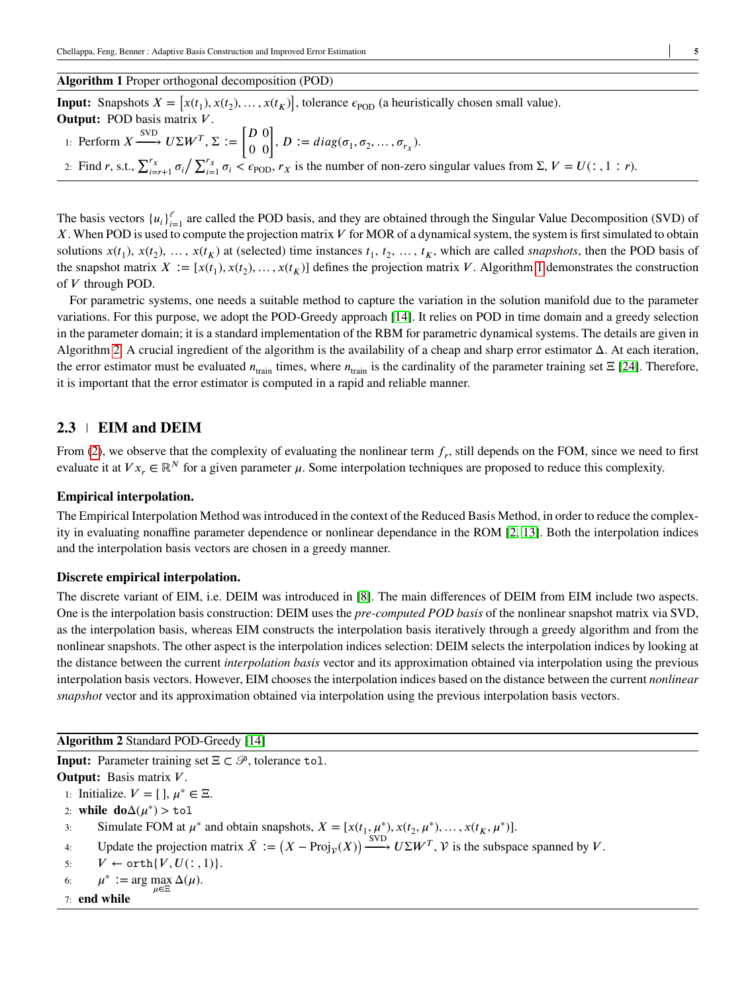#### <span id="page-4-0"></span>**Algorithm 1** Proper orthogonal decomposition (POD)

**Input:** Snapshots  $X = [x(t_1), x(t_2), \dots, x(t_K)]$ , tolerance  $\epsilon_{\text{POD}}$  (a heuristically chosen small value).

Output: POD basis matrix *V*.

\n1: Perform 
$$
X \xrightarrow{\text{SVD}} U\Sigma W^T
$$
,  $\Sigma := \begin{bmatrix} D & 0 \\ 0 & 0 \end{bmatrix}$ ,  $D := diag(\sigma_1, \sigma_2, \ldots, \sigma_{r_X})$ .

\n2: Find *r*, s.t.,  $\sum_{i=r+1}^{r_X} \sigma_i / \sum_{i=1}^{r_X} \sigma_i < \epsilon_{\text{POD}}$ , *r\_X* is the number of non-zero singular values from Σ, *V* = *U*(: , 1 : *r*).

The basis vectors  $\{u_i\}_{i=1}^e$  are called the POD basis, and they are obtained through the Singular Value Decomposition (SVD) of *X*. When POD is used to compute the projection matrix *V* for MOR of a dynamical system, the system is first simulated to obtain solutions  $x(t_1)$ ,  $x(t_2)$ , ...,  $x(t_K)$  at (selected) time instances  $t_1, t_2, ..., t_K$ , which are called *snapshots*, then the POD basis of the snapshot matrix  $X := [x(t_1), x(t_2), \dots, x(t_K)]$  defines the projection matrix *V*. Algorithm [1](#page-4-0) demonstrates the construction of *𝑉* through POD.

For parametric systems, one needs a suitable method to capture the variation in the solution manifold due to the parameter variations. For this purpose, we adopt the POD-Greedy approach [\[14\]](#page-24-9). It relies on POD in time domain and a greedy selection in the parameter domain; it is a standard implementation of the RBM for parametric dynamical systems. The details are given in Algorithm [2.](#page-4-1) A crucial ingredient of the algorithm is the availability of a cheap and sharp error estimator  $\Delta$ . At each iteration, the error estimator must be evaluated  $n_{\text{train}}$  times, where  $n_{\text{train}}$  is the cardinality of the parameter training set  $\Xi$  [\[24\]](#page-25-1). Therefore, it is important that the error estimator is computed in a rapid and reliable manner.

## **2.3 EIM and DEIM**

From [\(2\)](#page-3-1), we observe that the complexity of evaluating the nonlinear term  $f_r$ , still depends on the FOM, since we need to first evaluate it at  $Vx_r \in \mathbb{R}^N$  for a given parameter  $\mu$ . Some interpolation techniques are proposed to reduce this complexity.

## **Empirical interpolation.**

The Empirical Interpolation Method was introduced in the context of the Reduced Basis Method, in order to reduce the complexity in evaluating nonaffine parameter dependence or nonlinear dependance in the ROM [\[2,](#page-23-0) [13\]](#page-24-4). Both the interpolation indices and the interpolation basis vectors are chosen in a greedy manner.

#### **Discrete empirical interpolation.**

The discrete variant of EIM, i.e. DEIM was introduced in [\[8\]](#page-24-3). The main differences of DEIM from EIM include two aspects. One is the interpolation basis construction: DEIM uses the *pre-computed POD basis* of the nonlinear snapshot matrix via SVD, as the interpolation basis, whereas EIM constructs the interpolation basis iteratively through a greedy algorithm and from the nonlinear snapshots. The other aspect is the interpolation indices selection: DEIM selects the interpolation indices by looking at the distance between the current *interpolation basis* vector and its approximation obtained via interpolation using the previous interpolation basis vectors. However, EIM chooses the interpolation indices based on the distance between the current *nonlinear snapshot* vector and its approximation obtained via interpolation using the previous interpolation basis vectors.

<span id="page-4-1"></span>**Algorithm 2** Standard POD-Greedy [\[14\]](#page-24-9)

**Input:** Parameter training set Ξ *⊂* 𝒫 , tolerance tol. **Output:** Basis matrix *V*. 1: Initialize.  $V = [$  ],  $\mu^* \in \Xi$ . 2: while  $\mathbf{do}\Delta(\mu^*)$  > tol 3: Simulate FOM at  $\mu^*$  and obtain snapshots,  $X = [x(t_1, \mu^*), x(t_2, \mu^*), \dots, x(t_K, \mu^*)]$ . 4: Update the projection matrix  $\bar{X} := (X - \text{Proj}_{\mathcal{V}}(X)) \xrightarrow{\text{SVD}} U\Sigma W^T$ ,  $\mathcal{V}$  is the subspace spanned by  $V$ . 5:  $V \leftarrow \text{orth}\{V, U(:, 1)\}.$ 6:  $\mu^* := \arg \max \Delta(\mu).$ *𝜇*∈Ξ 7: **end while**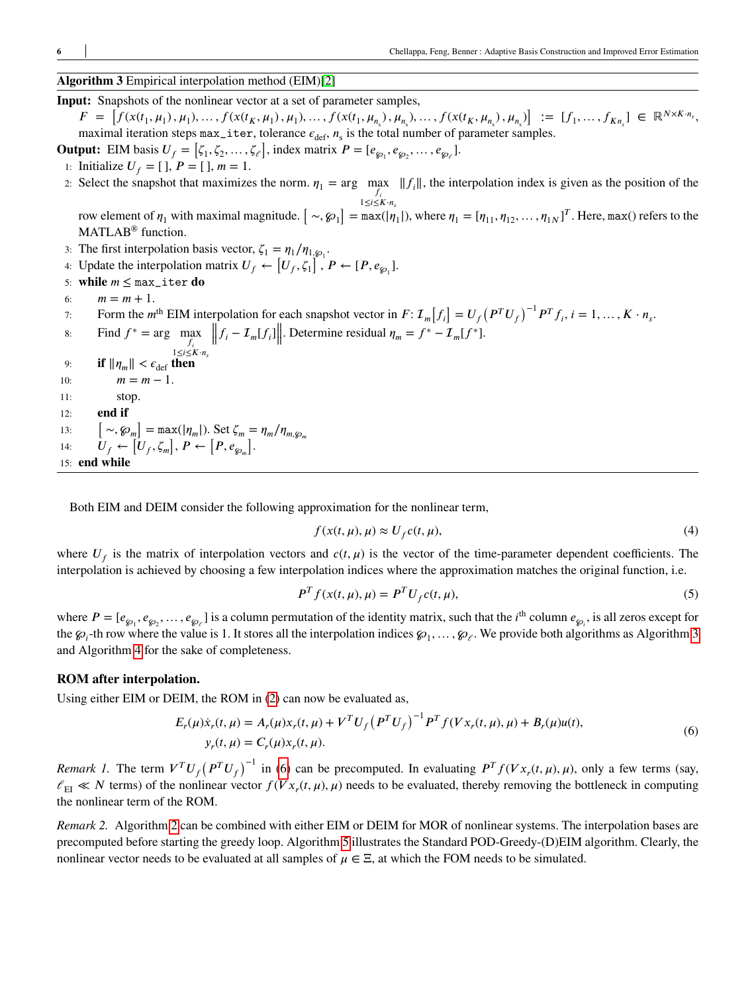## <span id="page-5-0"></span>**Algorithm 3** Empirical interpolation method (EIM)[\[2\]](#page-23-0)

**Input:** Snapshots of the nonlinear vector at a set of parameter samples,  $F = [f(x(t_1, \mu_1), \mu_1), \dots, f(x(t_K, \mu_1), \mu_1), \dots, f(x(t_1, \mu_{n_s}), \mu_{n_s}), \dots, f(x(t_K, \mu_{n_s}), \mu_{n_s})] := [f_1, \dots, f_{Kn_s}] \in \mathbb{R}^{N \times K \cdot n_s}$ maximal iteration steps  $max\_iter$ , tolerance  $\epsilon_{def}$ ,  $n_s$  is the total number of parameter samples.

**Output:** EIM basis  $U_f = [\zeta_1, \zeta_2, \dots, \zeta_\ell]$ , index matrix  $P = [e_{g_1}, e_{g_2}, \dots, e_{g_\ell}]$ .

1: Initialize  $U_f = [ ] , P = [ ] , m = 1.$ 

2: Select the snapshot that maximizes the norm.  $\eta_1 = \arg \max_f ||f_i||$ , the interpolation index is given as the position of the  $f_i$ <br> $1 \leq i \leq K \cdot n_s$ 

row element of  $\eta_1$  with maximal magnitude.  $[\sim,\wp_1] = \max(|\eta_1|)$ , where  $\eta_1 = [\eta_{11}, \eta_{12}, \dots, \eta_{1N}]^T$ . Here, max() refers to the MATLAB<sup>®</sup> function.

3: The first interpolation basis vector,  $\zeta_1 = \eta_1 / \eta_{1, \wp_1}$ .

4: Update the interpolation matrix 
$$
U_f \leftarrow [U_f, \zeta_1]
$$
,  $P \leftarrow [P, e_{\wp_1}]$ .

- 5: **while**  $m \leq max\_iter$  **do**
- 6:  $m = m + 1$ .
- Form the m<sup>th</sup> EIM interpolation for each snapshot vector in  $F: \mathcal{I}_m[f_i] = U_f (P^T U_f)^{-1} P^T f_i$ ,  $i = 1, ..., K \cdot n_s$ .

8: Find  $f^* = \arg \max_{f_i} f_i$ <br>  $\lim_{1 \le i \le K \cdot n_s} f_i$  $||f_i - \mathcal{I}_m[f_i]||$ . Determine residual  $\eta_m = f^* - \mathcal{I}_m[f^*]$ . 9: **if**  $\|\eta_m\| < \epsilon_{\text{def}}$  then 10:  $m = m - 1$ . 11: stop. 12: **end if**  $\sim$ ,  $\mathcal{G}_{m}$ ] = max(| $\eta_{m}$ |). Set  $\zeta_{m} = \eta_{m}/\eta_{m,\mathcal{G}_{m}}$ 

 $13:$ 14:  $U_f \leftarrow [U_f, \zeta_m], P \leftarrow [P, e_{\wp_m}].$ <br>14:  $U_f \leftarrow [U_f, \zeta_m], P \leftarrow [P, e_{\wp_m}].$ 

15: **end while**

Both EIM and DEIM consider the following approximation for the nonlinear term,

$$
f(x(t,\mu),\mu) \approx U_f c(t,\mu),\tag{4}
$$

where  $U_f$  is the matrix of interpolation vectors and  $c(t, \mu)$  is the vector of the time-parameter dependent coefficients. The interpolation is achieved by choosing a few interpolation indices where the approximation matches the original function, i.e.

<span id="page-5-1"></span>
$$
P^{T} f(x(t, \mu), \mu) = P^{T} U_{f} c(t, \mu),
$$
\n(5)

where  $P = [e_{\wp_1}, e_{\wp_2}, \dots, e_{\wp_\ell}]$  is a column permutation of the identity matrix, such that the *i*<sup>th</sup> column  $e_{\wp_i}$ , is all zeros except for the  $\wp_i$ -th row where the value is 1. It stores all the interpolation indices  $\wp_1, \ldots, \wp_{\ell}$ . We provide both algorithms as Algorithm [3](#page-5-0) and Algorithm [4](#page-6-0) for the sake of completeness.

#### **ROM after interpolation.**

Using either EIM or DEIM, the ROM in [\(2\)](#page-3-1) can now be evaluated as,

$$
E_r(\mu)\dot{x}_r(t,\mu) = A_r(\mu)x_r(t,\mu) + V^T U_f (P^T U_f)^{-1} P^T f(Vx_r(t,\mu),\mu) + B_r(\mu)u(t),
$$
  
\n
$$
y_r(t,\mu) = C_r(\mu)x_r(t,\mu).
$$
\n(6)

*Remark 1*. The term  $V^T U_f (P^T U_f)^{-1}$  in [\(6\)](#page-5-1) can be precomputed. In evaluating  $P^T f(Vx_r(t,\mu),\mu)$ , only a few terms (say,  $\ell_{\rm EI} \ll N$  terms) of the nonlinear vector  $f(Vx_r(t,\mu), \mu)$  needs to be evaluated, thereby removing the bottleneck in computing the nonlinear term of the ROM.

*Remark 2.* Algorithm [2](#page-4-1) can be combined with either EIM or DEIM for MOR of nonlinear systems. The interpolation bases are precomputed before starting the greedy loop. Algorithm [5](#page-6-1) illustrates the Standard POD-Greedy-(D)EIM algorithm. Clearly, the nonlinear vector needs to be evaluated at all samples of  $\mu \in \Xi$ , at which the FOM needs to be simulated.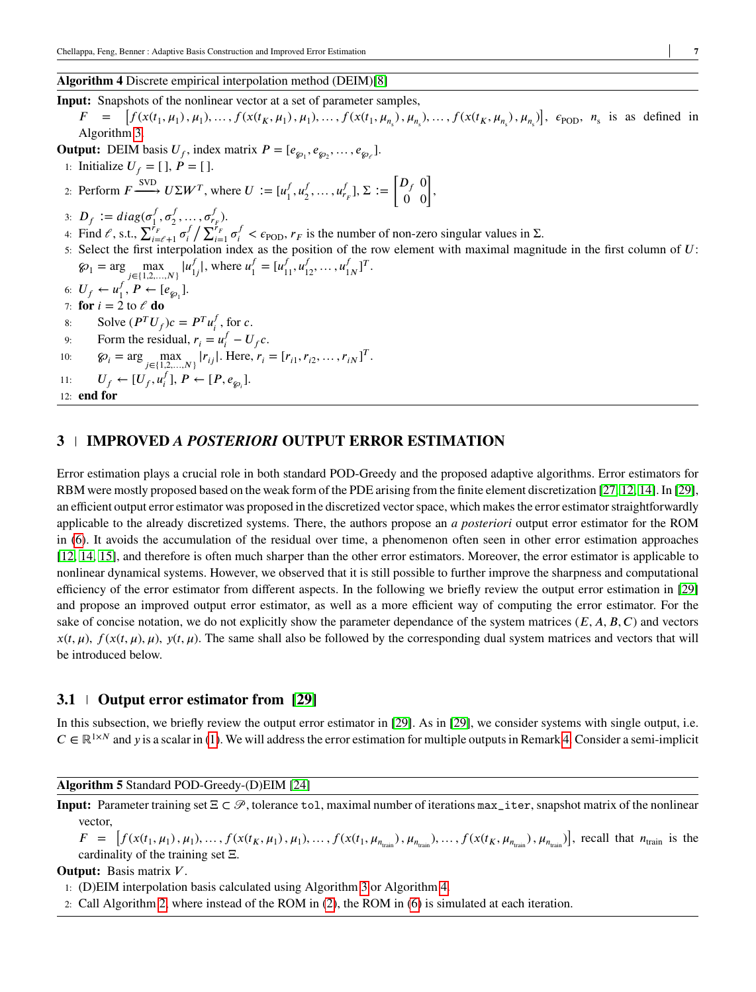## <span id="page-6-0"></span>**Algorithm 4** Discrete empirical interpolation method (DEIM)[\[8\]](#page-24-3)

**Input:** Snapshots of the nonlinear vector at a set of parameter samples,  $F =$  $[f(x(t_1,\mu_1),\mu_1),...,f(x(t_K,\mu_1),\mu_1),...,f(x(t_1,\mu_{n_s}),\mu_{n_s}),...,f(x(t_K,\mu_{n_s}),\mu_{n_s})], \epsilon_{\text{POD}}, n_s$  is as defined in Algorithm [3.](#page-5-0) **Output:** DEIM basis  $U_f$ , index matrix  $P = [e_{\wp_1}, e_{\wp_2}, \dots, e_{\wp_\ell}].$ 1: **Initialize**  $U_f = [ ]$ ,  $P = [ ]$ . 2: Perform  $F \xrightarrow{\text{SVD}} U\Sigma W^T$ , where  $U := [u_1^f$  $\frac{f}{1}, u_2^f$  $\frac{f}{2}, \ldots, u_{r_F}^f], \Sigma :=$  $\begin{bmatrix} D_f & 0 \\ 0 & 0 \end{bmatrix}$ 3:  $D_f := diag(\sigma_1^f)$  $^f_1,\sigma^f_2$  $\sigma_{r_{F}}^{f}$ ). 4: Find  $\ell$ , s.t.,  $\sum_{i=\ell+1}^{r} \sigma_i^f$  $\int_{i}^{i} \sum_{i=1}^{r_{F}} \sigma_{i}^{f} < \epsilon_{\text{POD}}$ ,  $r_{F}$  is the number of non-zero singular values in  $\Sigma$ . 5: Select the first interpolation index as the position of the row element with maximal magnitude in the first column of  $U$ :  $\mathcal{D}_1 = \arg \max_{j \in \{1, 2, ..., N\}} |u_1^j|$  $\int_{1j}^{f}$ , where  $u_1^f$  $j'_{1} = [u'_{11}, u'_{12}, \dots, u'_{1}]$  $_{1N}^f$ <sup>T</sup>. 6:  $U_f \leftarrow u_1^f$  $I_1^J$ ,  $P \leftarrow [e_{\wp_1}].$ 7: **for**  $i = 2$  to  $\ell$  **do** 8: Solve  $(P^T U_f)c = P^T u_i^f$  $\frac{J}{i}$ , for *c*. 9: Form the residual,  $r_i = u_i^f - U_f c$ . 10:  $\mathcal{D}_i = \arg \max_{j \in \{1, 2, ..., N\}} |r_{ij}|.$  Here,  $r_i = [r_{i1}, r_{i2}, ..., r_{iN}]^T.$ 11:  $U_f \leftarrow [U_f, u_i^f]$  $\frac{J}{i}$ ],  $P \leftarrow [P, e_{\wp_i}]$ . 12: **end for**

## **3 IMPROVED** *A POSTERIORI* **OUTPUT ERROR ESTIMATION**

Error estimation plays a crucial role in both standard POD-Greedy and the proposed adaptive algorithms. Error estimators for RBM were mostly proposed based on the weak form of the PDE arising from the finite element discretization [\[27,](#page-25-2) [12,](#page-24-12) [14\]](#page-24-9). In [\[29\]](#page-25-3), an efficient output error estimator was proposed in the discretized vector space, which makes the error estimator straightforwardly applicable to the already discretized systems. There, the authors propose an *a posteriori* output error estimator for the ROM in [\(6\)](#page-5-1). It avoids the accumulation of the residual over time, a phenomenon often seen in other error estimation approaches [\[12,](#page-24-12) [14,](#page-24-9) [15\]](#page-24-13), and therefore is often much sharper than the other error estimators. Moreover, the error estimator is applicable to nonlinear dynamical systems. However, we observed that it is still possible to further improve the sharpness and computational efficiency of the error estimator from different aspects. In the following we briefly review the output error estimation in [\[29\]](#page-25-3) and propose an improved output error estimator, as well as a more efficient way of computing the error estimator. For the sake of concise notation, we do not explicitly show the parameter dependance of the system matrices  $(E, A, B, C)$  and vectors  $x(t, \mu)$ ,  $f(x(t, \mu), \mu)$ ,  $y(t, \mu)$ . The same shall also be followed by the corresponding dual system matrices and vectors that will be introduced below.

## **3.1 Output error estimator from [\[29\]](#page-25-3)**

In this subsection, we briefly review the output error estimator in [\[29\]](#page-25-3). As in [\[29\]](#page-25-3), we consider systems with single output, i.e.  $C \in \mathbb{R}^{1 \times N}$  and *y* is a scalar in [\(1\)](#page-3-0). We will address the error estimation for multiple outputs in Remark [4.](#page-9-0) Consider a semi-implicit

#### <span id="page-6-1"></span>**Algorithm 5** Standard POD-Greedy-(D)EIM [\[24\]](#page-25-1)

**Input:** Parameter training set Ξ *⊂* 𝒫 , tolerance tol, maximal number of iterations max\_iter, snapshot matrix of the nonlinear vector,

 $F = [f(x(t_1, \mu_1), \mu_1), ..., f(x(t_K, \mu_1), \mu_1), ..., f(x(t_1, \mu_{n_{\text{train}}}), \mu_{n_{\text{train}}}), ..., f(x(t_K, \mu_{n_{\text{train}}}), \mu_{n_{\text{train}}})]$ , recall that  $n_{\text{train}}$  is the cardinality of the training set Ξ.

#### **Output:** Basis matrix *V*.

- 1: (D)EIM interpolation basis calculated using Algorithm [3](#page-5-0) or Algorithm [4.](#page-6-0)
- 2: Call Algorithm [2,](#page-4-1) where instead of the ROM in [\(2\)](#page-3-1), the ROM in [\(6\)](#page-5-1) is simulated at each iteration.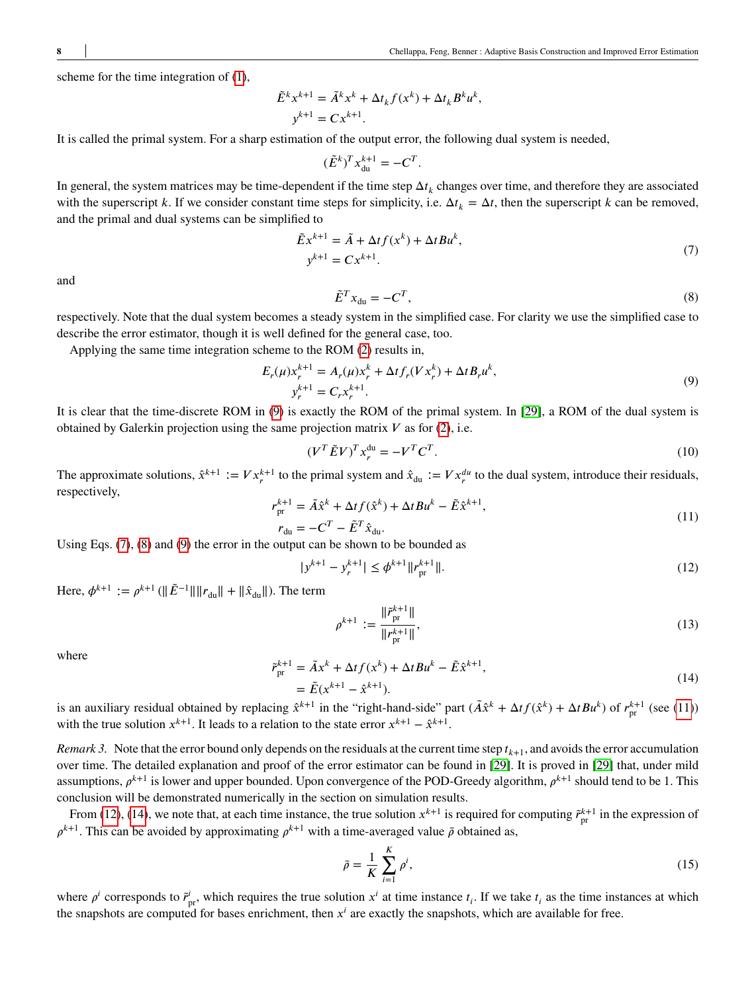scheme for the time integration of [\(1\)](#page-3-0),

$$
\tilde{E}^k x^{k+1} = \tilde{A}^k x^k + \Delta t_k f(x^k) + \Delta t_k B^k u^k,
$$
  

$$
y^{k+1} = C x^{k+1}.
$$

It is called the primal system. For a sharp estimation of the output error, the following dual system is needed,

$$
(\tilde{E}^k)^T x_{\text{du}}^{k+1} = -C^T.
$$

In general, the system matrices may be time-dependent if the time step  $\Delta t_k$  changes over time, and therefore they are associated with the superscript *k*. If we consider constant time steps for simplicity, i.e.  $\Delta t_k = \Delta t$ , then the superscript *k* can be removed, and the primal and dual systems can be simplified to

<span id="page-7-1"></span>
$$
\tilde{E}x^{k+1} = \tilde{A} + \Delta t f(x^k) + \Delta t B u^k,
$$
  
\n
$$
y^{k+1} = Cx^{k+1}.
$$
\n(7)

<span id="page-7-2"></span>and

<span id="page-7-0"></span>
$$
\tilde{E}^T x_{\rm du} = -C^T,\tag{8}
$$

respectively. Note that the dual system becomes a steady system in the simplified case. For clarity we use the simplified case to describe the error estimator, though it is well defined for the general case, too.

Applying the same time integration scheme to the ROM [\(2\)](#page-3-1) results in,

$$
E_r(\mu)x_r^{k+1} = A_r(\mu)x_r^k + \Delta t f_r(Vx_r^k) + \Delta t B_r u^k,
$$
  
\n
$$
y_r^{k+1} = C_r x_r^{k+1}.
$$
\n(9)

It is clear that the time-discrete ROM in [\(9\)](#page-7-0) is exactly the ROM of the primal system. In [\[29\]](#page-25-3), a ROM of the dual system is obtained by Galerkin projection using the same projection matrix  $V$  as for [\(2\)](#page-3-1), i.e.

$$
(V^T \tilde{E} V)^T x_r^{\text{du}} = -V^T C^T. \tag{10}
$$

<span id="page-7-3"></span>The approximate solutions,  $\hat{x}^{k+1} := V x_r^{k+1}$  to the primal system and  $\hat{x}_{du} := V x_r^{du}$  to the dual system, introduce their residuals, respectively,

$$
r_{\text{pr}}^{k+1} = \tilde{A}\hat{x}^k + \Delta t f(\hat{x}^k) + \Delta t B u^k - \tilde{E}\hat{x}^{k+1},
$$
  
\n
$$
r_{\text{du}} = -C^T - \tilde{E}^T \hat{x}_{\text{du}}.
$$
\n(11)

Using Eqs. [\(7\)](#page-7-1), [\(8\)](#page-7-2) and [\(9\)](#page-7-0) the error in the output can be shown to be bounded as

$$
|y^{k+1} - y_r^{k+1}| \le \phi^{k+1} \|r_{pr}^{k+1}\|.
$$
 (12)

Here,  $\phi^{k+1} := \rho^{k+1} (\|\tilde{E}^{-1}\| \|r_{\text{du}}\| + \|\hat{x}_{\text{du}}\|)$ . The term

<span id="page-7-7"></span><span id="page-7-4"></span>
$$
\rho^{k+1} := \frac{\|\tilde{r}_{\text{pr}}^{k+1}\|}{\|r_{\text{pr}}^{k+1}\|},\tag{13}
$$

<span id="page-7-5"></span>where

$$
\tilde{r}_{pr}^{k+1} = \tilde{A}x^{k} + \Delta t f(x^{k}) + \Delta t B u^{k} - \tilde{E} \hat{x}^{k+1},
$$
\n
$$
= \tilde{E}(x^{k+1} - \hat{x}^{k+1}).
$$
\n(14)

is an auxiliary residual obtained by replacing  $\hat{x}^{k+1}$  in the "right-hand-side" part  $(\tilde{A}\hat{x}^k + \Delta t f(\hat{x}^k) + \Delta t B u^k)$  of  $r_{\text{pr}}^{k+1}$  (see [\(11\)](#page-7-3)) with the true solution  $x^{k+1}$ . It leads to a relation to the state error  $x^{k+1} - \hat{x}^{k+1}$ .

<span id="page-7-6"></span>*Remark 3.* Note that the error bound only depends on the residuals at the current time step  $t_{k+1}$ , and avoids the error accumulation over time. The detailed explanation and proof of the error estimator can be found in [\[29\]](#page-25-3). It is proved in [\[29\]](#page-25-3) that, under mild assumptions,  $\rho^{k+1}$  is lower and upper bounded. Upon convergence of the POD-Greedy algorithm,  $\rho^{k+1}$  should tend to be 1. This conclusion will be demonstrated numerically in the section on simulation results.

From [\(12\)](#page-7-4), [\(14\)](#page-7-5), we note that, at each time instance, the true solution  $x^{k+1}$  is required for computing  $\tilde{r}_{pr}^{k+1}$  in the expression of  $\rho^{k+1}$ . This can be avoided by approximating  $\rho^{k+1}$  with a time-averaged value  $\bar{\rho}$  obtained as,

<span id="page-7-8"></span>
$$
\bar{\rho} = \frac{1}{K} \sum_{i=1}^{K} \rho^i,\tag{15}
$$

where  $\rho^i$  corresponds to  $\tilde{r}^i_{pr}$ , which requires the true solution  $x^i$  at time instance  $t_i$ . If we take  $t_i$  as the time instances at which the snapshots are computed for bases enrichment, then  $x^i$  are exactly the snapshots, which are available for free.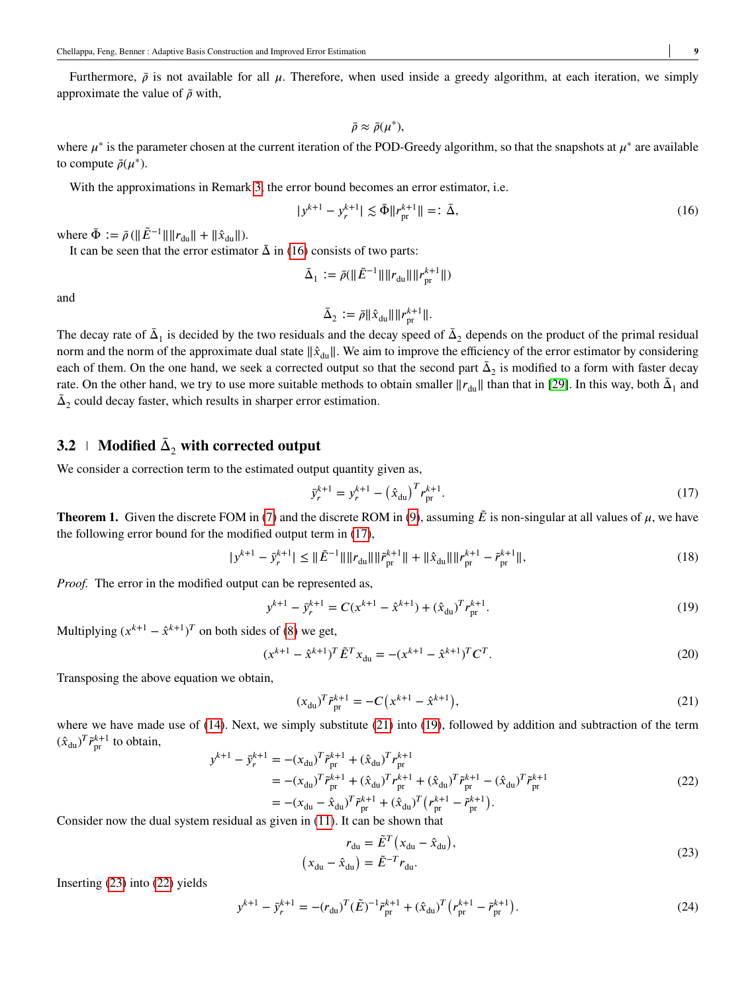Furthermore,  $\bar{\rho}$  is not available for all  $\mu$ . Therefore, when used inside a greedy algorithm, at each iteration, we simply approximate the value of  $\bar{\rho}$  with,

<span id="page-8-0"></span>
$$
\bar{\rho}\approx\bar{\rho}(\mu^*),
$$

where  $\mu^*$  is the parameter chosen at the current iteration of the POD-Greedy algorithm, so that the snapshots at  $\mu^*$  are available to compute  $\bar{\rho}(\mu^*)$ .

With the approximations in Remark [3,](#page-7-6) the error bound becomes an error estimator, i.e.

$$
|y^{k+1} - y_r^{k+1}| \lesssim \bar{\Phi} \|r_{\rm pr}^{k+1}\| =: \bar{\Delta},\tag{16}
$$

where  $\bar{\Phi} := \bar{\rho} (\|\tilde{E}^{-1}\| \|r_{\text{du}}\| + \|\hat{x}_{\text{du}}\|).$ 

It can be seen that the error estimator  $\bar{\Delta}$  in [\(16\)](#page-8-0) consists of two parts:

$$
\bar{\Delta}_1 := \bar{\rho}(\|\tilde{E}^{-1}\|\|r_{\text{du}}\|\|r_{\text{pr}}^{k+1}\|)
$$

and

$$
\bar{\Delta}_2 := \bar{\rho} \|\hat{x}_{du}\| \|r_{pr}^{k+1}\|.
$$

The decay rate of  $\bar{\Delta}_1$  is decided by the two residuals and the decay speed of  $\bar{\Delta}_2$  depends on the product of the primal residual norm and the norm of the approximate dual state  $\|\hat{x}_{du}\|$ . We aim to improve the efficiency of the error estimator by considering each of them. On the one hand, we seek a corrected output so that the second part  $\bar{\Delta}_2$  is modified to a form with faster decay rate. On the other hand, we try to use more suitable methods to obtain smaller  $||r_{du}||$  than that in [\[29\]](#page-25-3). In this way, both  $\bar{\Delta}_1$  and  $\bar{\Delta}_2$  could decay faster, which results in sharper error estimation.

## $\mathbf{3.2} \perp \mathbf{Modified} \; \bar{\Delta}_2 \; \mathbf{with} \; \mathbf{corrected} \; \mathbf{output}$

We consider a correction term to the estimated output quantity given as,

<span id="page-8-3"></span><span id="page-8-1"></span>
$$
\bar{y}_r^{k+1} = y_r^{k+1} - \left(\hat{x}_{\text{du}}\right)^T r_{\text{pr}}^{k+1}.\tag{17}
$$

**Theorem 1.** Given the discrete FOM in [\(7\)](#page-7-1) and the discrete ROM in [\(9\)](#page-7-0), assuming  $\tilde{E}$  is non-singular at all values of  $\mu$ , we have the following error bound for the modified output term in [\(17\)](#page-8-1),

$$
|y^{k+1} - \bar{y}_r^{k+1}| \leq \|\tilde{E}^{-1}\| \|r_{\text{du}}\| \|\tilde{r}_{\text{pr}}^{k+1}\| + \|\hat{x}_{\text{du}}\| \|r_{\text{pr}}^{k+1} - \tilde{r}_{\text{pr}}^{k+1}\|,\tag{18}
$$

*Proof.* The error in the modified output can be represented as,

$$
y^{k+1} - \bar{y}_r^{k+1} = C(x^{k+1} - \hat{x}^{k+1}) + (\hat{x}_{du})^T r_{pr}^{k+1}.
$$
\n(19)

Multiplying  $(x^{k+1} - \hat{x}^{k+1})^T$  on both sides of [\(8\)](#page-7-2) we get,

$$
(x^{k+1} - \hat{x}^{k+1})^T \tilde{E}^T x_{du} = -(x^{k+1} - \hat{x}^{k+1})^T C^T.
$$
\n(20)

Transposing the above equation we obtain,

<span id="page-8-2"></span>
$$
(x_{\text{du}})^T \tilde{r}_{\text{pr}}^{k+1} = -C\left(x^{k+1} - \hat{x}^{k+1}\right),\tag{21}
$$

where we have made use of [\(14\)](#page-7-5). Next, we simply substitute [\(21\)](#page-8-2) into [\(19\)](#page-8-3), followed by addition and subtraction of the term  $(\hat{x}_{du})^T \tilde{r}_{pr}^{k+1}$  to obtain,

<span id="page-8-5"></span>
$$
y^{k+1} - \bar{y}_r^{k+1} = -(x_{\text{du}})^T \tilde{r}_{\text{pr}}^{k+1} + (\hat{x}_{\text{du}})^T r_{\text{pr}}^{k+1}
$$
  
\n
$$
= -(x_{\text{du}})^T \tilde{r}_{\text{pr}}^{k+1} + (\hat{x}_{\text{du}})^T r_{\text{pr}}^{k+1} + (\hat{x}_{\text{du}})^T \tilde{r}_{\text{pr}}^{k+1} - (\hat{x}_{\text{du}})^T \tilde{r}_{\text{pr}}^{k+1}
$$
  
\n
$$
= -(x_{\text{du}} - \hat{x}_{\text{du}})^T \tilde{r}_{\text{pr}}^{k+1} + (\hat{x}_{\text{du}})^T (r_{\text{pr}}^{k+1} - \tilde{r}_{\text{pr}}^{k+1}).
$$
\n(22)

Consider now the dual system residual as given in [\(11\)](#page-7-3). It can be shown that

<span id="page-8-4"></span>
$$
r_{\text{du}} = \tilde{E}^T \left( x_{\text{du}} - \hat{x}_{\text{du}} \right),
$$
  
\n
$$
\left( x_{\text{du}} - \hat{x}_{\text{du}} \right) = \tilde{E}^{-T} r_{\text{du}}.
$$
\n(23)

Inserting [\(23\)](#page-8-4) into [\(22\)](#page-8-5) yields

$$
y^{k+1} - \tilde{y}_r^{k+1} = -(r_{\text{du}})^T (\tilde{E})^{-1} \tilde{r}_{\text{pr}}^{k+1} + (\hat{x}_{\text{du}})^T (r_{\text{pr}}^{k+1} - \tilde{r}_{\text{pr}}^{k+1}).
$$
\n(24)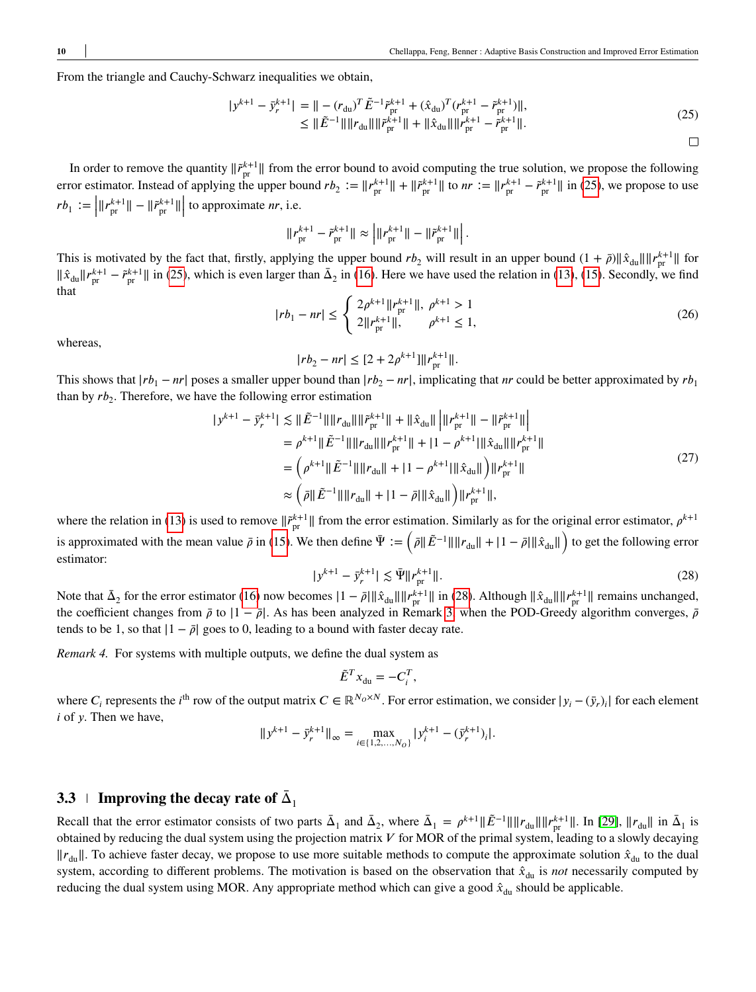<span id="page-9-1"></span>From the triangle and Cauchy-Schwarz inequalities we obtain,

$$
|y^{k+1} - \bar{y}_r^{k+1}| = || - (r_{\text{du}})^T \tilde{E}^{-1} \tilde{r}_{\text{pr}}^{k+1} + (\hat{x}_{\text{du}})^T (r_{\text{pr}}^{k+1} - \tilde{r}_{\text{pr}}^{k+1})||,
$$
  
\n
$$
\leq ||\tilde{E}^{-1}|| ||r_{\text{du}}|| ||\tilde{r}_{\text{pr}}^{k+1}|| + ||\hat{x}_{\text{du}}|| ||r_{\text{pr}}^{k+1} - \tilde{r}_{\text{pr}}^{k+1}||.
$$
\n(25)

*.*

 $\Box$ 

In order to remove the quantity  $\|\tilde{r}_{pr}^{k+1}\|$  from the error bound to avoid computing the true solution, we propose the following error estimator. Instead of applying the upper bound  $rb_2 := ||r_{pr}^{k+1}|| + ||\tilde{r}_{pr}^{k+1}||$  to  $nr := ||r_{pr}^{k+1} - \tilde{r}_{pr}^{k+1}||$  in [\(25\)](#page-9-1), we propose to use  $rb_1 := \left| ||r_{\text{pr}}^{k+1}|| - ||\tilde{r}_{\text{pr}}^{k+1}|| \right|$  to approximate *nr*, i.e.

$$
\|r_{\text{pr}}^{k+1} - \tilde{r}_{\text{pr}}^{k+1}\| \approx \left| \|r_{\text{pr}}^{k+1}\| - \|\tilde{r}_{\text{pr}}^{k+1}\|\right|
$$

This is motivated by the fact that, firstly, applying the upper bound  $rb_2$  will result in an upper bound  $(1 + \bar{\rho})\|\hat{x}_{du}\|\|r_{pr}^{k+1}\|$  for  $\|\hat{x}_{\text{du}}\| r_{\text{pr}}^{k+1} - \tilde{r}_{\text{pr}}^{k+1}\|$  in [\(25\)](#page-9-1), which is even larger than  $\bar{\Delta}_2$  in [\(16\)](#page-8-0). Here we have used the relation in [\(13\)](#page-7-7), [\(15\)](#page-7-8). Secondly, we find that  $\epsilon$ 

$$
|rb_1 - nr| \le \begin{cases} 2\rho^{k+1} \|r_{\text{pr}}^{k+1}\|, \ \rho^{k+1} > 1\\ 2\|r_{\text{pr}}^{k+1}\|, \qquad \rho^{k+1} \le 1, \end{cases}
$$
 (26)

whereas,

$$
|rb_2 - nr| \leq [2 + 2\rho^{k+1}] ||r_{\text{pr}}^{k+1}||.
$$

This shows that  $|rb_1 - nr|$  poses a smaller upper bound than  $|rb_2 - nr|$ , implicating that *nr* could be better approximated by  $rb_1$ than by  $rb_2$ . Therefore, we have the following error estimation

$$
|y^{k+1} - \bar{y}_r^{k+1}| \lesssim ||\tilde{E}^{-1}|| ||r_{\text{du}}|| ||\tilde{r}_{\text{pr}}^{k+1}|| + ||\hat{x}_{\text{du}}|| ||r_{\text{pr}}^{k+1}|| - ||\tilde{r}_{\text{pr}}^{k+1}||
$$
\n
$$
= \rho^{k+1} ||\tilde{E}^{-1}|| ||r_{\text{du}}|| ||r_{\text{pr}}^{k+1}|| + |1 - \rho^{k+1}|| \hat{x}_{\text{du}}|| ||r_{\text{pr}}^{k+1}||
$$
\n
$$
= \left(\rho^{k+1} ||\tilde{E}^{-1}|| ||r_{\text{du}}|| + |1 - \rho^{k+1}||\hat{x}_{\text{du}}|| \right) ||r_{\text{pr}}^{k+1}||
$$
\n
$$
\approx \left(\bar{\rho} ||\tilde{E}^{-1}|| ||r_{\text{du}}|| + |1 - \bar{\rho}||\hat{x}_{\text{du}}|| \right) ||r_{\text{pr}}^{k+1}||,
$$
\n(27)

<span id="page-9-2"></span>where the relation in [\(13\)](#page-7-7) is used to remove  $\|\tilde{r}_{pr}^{k+1}\|$  from the error estimation. Similarly as for the original error estimator,  $\rho^{k+1}$ is approximated with the mean value  $\bar{\rho}$  in [\(15\)](#page-7-8). We then define  $\Psi := (\bar{\rho} || \tilde{E}^{-1} || ||r_{du}|| + |1 - \bar{\rho}|| \hat{x}_{du}||)$  to get the following error  $\left( \begin{array}{ccc} \sim & \end{array} \right)$ estimator:

$$
|y^{k+1} - \bar{y}_r^{k+1}| \lesssim \bar{\Psi} ||r_{\rm pr}^{k+1}||. \tag{28}
$$

Note that  $\bar{\Delta}_2$  for the error estimator [\(16\)](#page-8-0) now becomes  $|1 - \bar{\rho}| \|\hat{x}_{du}\| \|r_{pr}^{k+1}\|$  in [\(28\)](#page-9-2). Although  $\|\hat{x}_{du}\| \|r_{pr}^{k+1}\|$  remains unchanged, the coefficient changes from  $\bar{\rho}$  to  $|1 - \bar{\rho}|$ . As has been analyzed in Remark [3,](#page-7-6) when the POD-Greedy algorithm converges,  $\bar{\rho}$ tends to be 1, so that  $|1 - \bar{\rho}|$  goes to 0, leading to a bound with faster decay rate.

<span id="page-9-0"></span>*Remark 4.* For systems with multiple outputs, we define the dual system as

$$
\tilde{E}^T x_{\rm du} = -C_i^T,
$$

where  $C_i$  represents the *i*<sup>th</sup> row of the output matrix  $C \in \mathbb{R}^{N_0 \times N}$ . For error estimation, we consider  $|y_i - (\bar{y}_r)_i|$  for each element *i* of *y*. Then we have,

$$
||y^{k+1} - \bar{y}_r^{k+1}||_{\infty} = \max_{i \in \{1, 2, ..., N_O\}} |y_i^{k+1} - (\bar{y}_r^{k+1})_i|.
$$

## **3.3 I** Improving the decay rate of  $\bar{\Delta}_1$

Recall that the error estimator consists of two parts  $\bar{\Delta}_1$  and  $\bar{\Delta}_2$ , where  $\bar{\Delta}_1 = \rho^{k+1} || \tilde{E}^{-1} || ||r_{\text{du}} || ||r_{\text{pr}}^{k+1} ||$ . In [\[29\]](#page-25-3),  $||r_{\text{du}}||$  in  $\bar{\Delta}_1$  is obtained by reducing the dual system using the projection matrix  $V$  for MOR of the primal system, leading to a slowly decaying  $||r_{\text{du}}||$ . To achieve faster decay, we propose to use more suitable methods to compute the approximate solution  $\hat{x}_{\text{du}}$  to the dual system, according to different problems. The motivation is based on the observation that  $\hat{x}_{du}$  is *not* necessarily computed by reducing the dual system using MOR. Any appropriate method which can give a good  $\hat{x}_{du}$  should be applicable.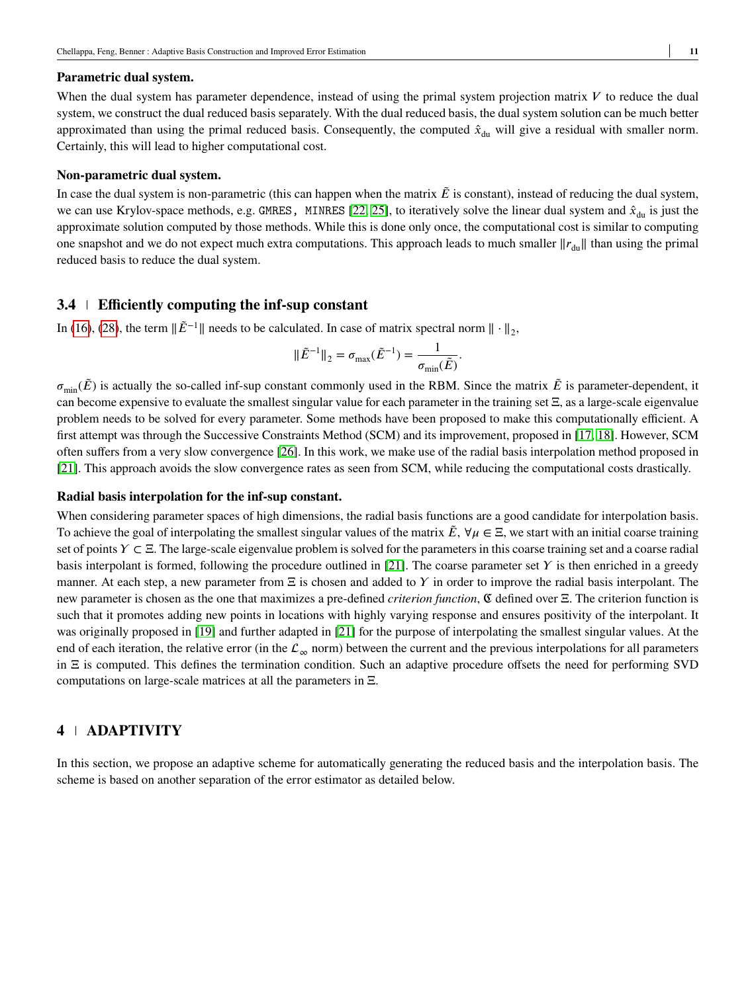#### **Parametric dual system.**

When the dual system has parameter dependence, instead of using the primal system projection matrix  $V$  to reduce the dual system, we construct the dual reduced basis separately. With the dual reduced basis, the dual system solution can be much better approximated than using the primal reduced basis. Consequently, the computed  $\hat{x}_{du}$  will give a residual with smaller norm. Certainly, this will lead to higher computational cost.

#### **Non-parametric dual system.**

In case the dual system is non-parametric (this can happen when the matrix  $\vec{E}$  is constant), instead of reducing the dual system, we can use Krylov-space methods, e.g. GMRES, MINRES [\[22,](#page-24-14) [25\]](#page-25-4), to iteratively solve the linear dual system and  $\hat{x}_{\text{du}}$  is just the approximate solution computed by those methods. While this is done only once, the computational cost is similar to computing one snapshot and we do not expect much extra computations. This approach leads to much smaller  $||r_{\text{du}}||$  than using the primal reduced basis to reduce the dual system.

## **3.4 Efficiently computing the inf-sup constant**

In [\(16\)](#page-8-0), [\(28\)](#page-9-2), the term  $\|\tilde{E}^{-1}\|$  needs to be calculated. In case of matrix spectral norm  $\|\cdot\|_2$ ,

$$
\|\tilde{E}^{-1}\|_2 = \sigma_{\max}(\tilde{E}^{-1}) = \frac{1}{\sigma_{\min}(\tilde{E})}.
$$

 $\sigma_{\min}(\tilde{E})$  is actually the so-called inf-sup constant commonly used in the RBM. Since the matrix  $\tilde{E}$  is parameter-dependent, it can become expensive to evaluate the smallest singular value for each parameter in the training set Ξ, as a large-scale eigenvalue problem needs to be solved for every parameter. Some methods have been proposed to make this computationally efficient. A first attempt was through the Successive Constraints Method (SCM) and its improvement, proposed in [\[17,](#page-24-15) [18\]](#page-24-16). However, SCM often suffers from a very slow convergence [\[26\]](#page-25-5). In this work, we make use of the radial basis interpolation method proposed in [\[21\]](#page-24-11). This approach avoids the slow convergence rates as seen from SCM, while reducing the computational costs drastically.

#### **Radial basis interpolation for the inf-sup constant.**

When considering parameter spaces of high dimensions, the radial basis functions are a good candidate for interpolation basis. To achieve the goal of interpolating the smallest singular values of the matrix  $\tilde{E}$ ,  $\forall \mu \in \Xi$ , we start with an initial coarse training set of points *Y* ⊂ Ξ. The large-scale eigenvalue problem is solved for the parameters in this coarse training set and a coarse radial basis interpolant is formed, following the procedure outlined in  $[21]$ . The coarse parameter set  $\gamma$  is then enriched in a greedy manner. At each step, a new parameter from Ξ is chosen and added to *𝛶* in order to improve the radial basis interpolant. The new parameter is chosen as the one that maximizes a pre-defined *criterion function*, ℭ defined over Ξ. The criterion function is such that it promotes adding new points in locations with highly varying response and ensures positivity of the interpolant. It was originally proposed in [\[19\]](#page-24-17) and further adapted in [\[21\]](#page-24-11) for the purpose of interpolating the smallest singular values. At the end of each iteration, the relative error (in the  $\mathcal{L}_{\infty}$  norm) between the current and the previous interpolations for all parameters in Ξ is computed. This defines the termination condition. Such an adaptive procedure offsets the need for performing SVD computations on large-scale matrices at all the parameters in Ξ.

## **4 ADAPTIVITY**

In this section, we propose an adaptive scheme for automatically generating the reduced basis and the interpolation basis. The scheme is based on another separation of the error estimator as detailed below.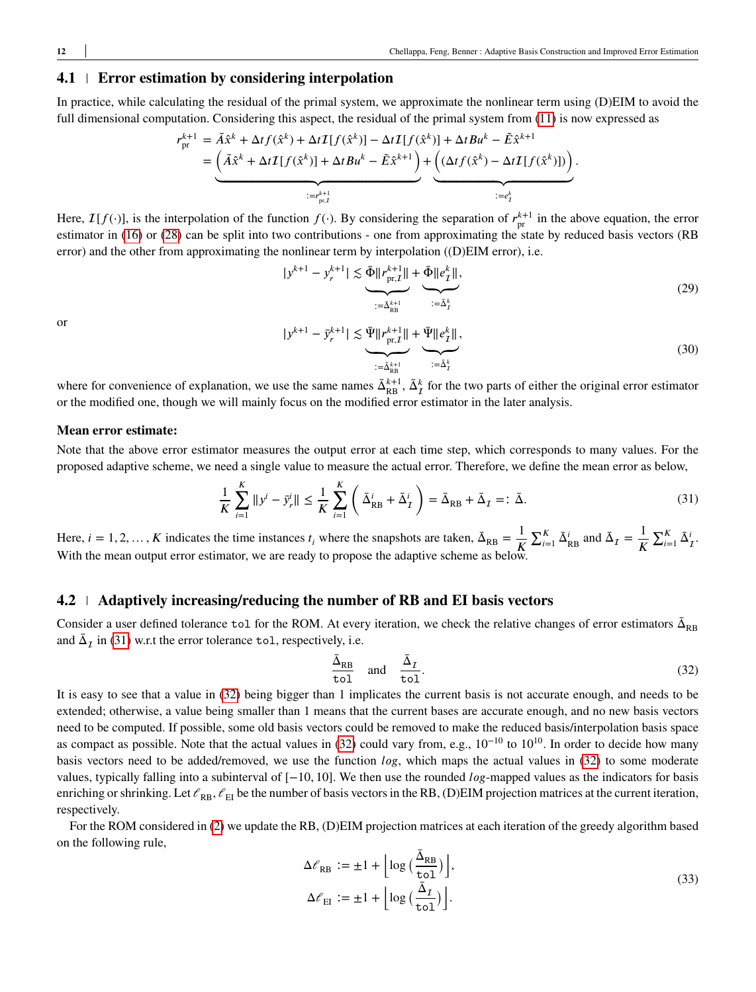## **4.1 Error estimation by considering interpolation**

In practice, while calculating the residual of the primal system, we approximate the nonlinear term using (D)EIM to avoid the full dimensional computation. Considering this aspect, the residual of the primal system from [\(11\)](#page-7-3) is now expressed as

$$
r_{\text{pr}}^{k+1} = \tilde{A}\hat{x}^k + \Delta t f(\hat{x}^k) + \Delta t \mathcal{I}[f(\hat{x}^k)] - \Delta t \mathcal{I}[f(\hat{x}^k)] + \Delta t B u^k - \tilde{E}\hat{x}^{k+1}
$$
  
= 
$$
\underbrace{\left(\tilde{A}\hat{x}^k + \Delta t \mathcal{I}[f(\hat{x}^k)] + \Delta t B u^k - \tilde{E}\hat{x}^{k+1}\right)}_{:=r_{\text{pr},I}^{k+1}} + \underbrace{\left((\Delta t f(\hat{x}^k) - \Delta t \mathcal{I}[f(\hat{x}^k)])\right)}_{:=e_f^k}.
$$

Here,  $\mathcal{I}[f(\cdot)]$ , is the interpolation of the function  $f(\cdot)$ . By considering the separation of  $r_{\text{pr}}^{k+1}$  in the above equation, the error estimator in [\(16\)](#page-8-0) or [\(28\)](#page-9-2) can be split into two contributions - one from approximating the state by reduced basis vectors (RB error) and the other from approximating the nonlinear term by interpolation ((D)EIM error), i.e.

<span id="page-11-3"></span>
$$
|y^{k+1} - y_r^{k+1}| \lesssim \underbrace{\bar{\Phi} \|r_{\text{pr},\mathcal{I}}^{k+1}\|}_{:=\bar{\Delta}_{\text{RB}}^{k+1}} + \underbrace{\bar{\Phi} \|e_{\mathcal{I}}^{k}\|}_{:=\bar{\Delta}_{\mathcal{I}}^{k}},
$$
\n(29)

<span id="page-11-4"></span>or

$$
y^{k+1} - \bar{y}_r^{k+1} \le \underbrace{\bar{\Psi} \| r_{\text{pr},\mathcal{I}}^{k+1} \|}_{:= \bar{\Delta}_{\text{RB}}^{k+1}} + \underbrace{\bar{\Psi} \| e_{\mathcal{I}}^k \|}_{:= \bar{\Delta}_{\mathcal{I}}^k},
$$
\n(30)

where for convenience of explanation, we use the same names  $\bar{\Delta}_{RB}^{k+1}$ ,  $\bar{\Delta}_{I}^{k}$  for the two parts of either the original error estimator or the modified one, though we will mainly focus on the modified error estimator in the later analysis.

## **Mean error estimate:**

Note that the above error estimator measures the output error at each time step, which corresponds to many values. For the proposed adaptive scheme, we need a single value to measure the actual error. Therefore, we define the mean error as below,

$$
\frac{1}{K} \sum_{i=1}^{K} ||y^{i} - \bar{y}_{r}^{i}|| \le \frac{1}{K} \sum_{i=1}^{K} \left( \bar{\Delta}_{RB}^{i} + \bar{\Delta}_{I}^{i} \right) = \bar{\Delta}_{RB} + \bar{\Delta}_{I} =: \bar{\Delta}.
$$
\n(31)

Here,  $i = 1, 2, ..., K$  indicates the time instances  $t_i$  where the snapshots are taken,  $\bar{\Delta}_{RB} = \frac{1}{K}$ *𝐾*  $\sum_{i=1}^{K} \bar{\Delta}_{RB}^{i}$  and  $\bar{\Delta}_{\mathcal{I}} = \frac{1}{K}$ *K*  $\sum_{i=1}^K \bar{\Delta}_I^i$ . With the mean output error estimator, we are ready to propose the adaptive scheme as below.

## **4.2 Adaptively increasing/reducing the number of RB and EI basis vectors**

 $\vert$ 

Consider a user defined tolerance tol for the ROM. At every iteration, we check the relative changes of error estimators  $\bar{\Delta}_{RB}$ and  $\bar{\Delta}_{I}$  in [\(31\)](#page-11-0) w.r.t the error tolerance tol, respectively, i.e.

<span id="page-11-1"></span><span id="page-11-0"></span>
$$
\frac{\bar{\Delta}_{RB}}{\text{tol}} \quad \text{and} \quad \frac{\bar{\Delta}_{I}}{\text{tol}}.
$$
 (32)

It is easy to see that a value in [\(32\)](#page-11-1) being bigger than 1 implicates the current basis is not accurate enough, and needs to be extended; otherwise, a value being smaller than 1 means that the current bases are accurate enough, and no new basis vectors need to be computed. If possible, some old basis vectors could be removed to make the reduced basis/interpolation basis space as compact as possible. Note that the actual values in [\(32\)](#page-11-1) could vary from, e.g., 10−10 to 10<sup>10</sup>. In order to decide how many basis vectors need to be added/removed, we use the function *log*, which maps the actual values in [\(32\)](#page-11-1) to some moderate values, typically falling into a subinterval of [−10*,* 10]. We then use the rounded *𝑙𝑜𝑔*-mapped values as the indicators for basis enriching or shrinking. Let  $\ell_{RB}$ ,  $\ell_{EI}$  be the number of basis vectors in the RB, (D)EIM projection matrices at the current iteration, respectively.

<span id="page-11-2"></span>For the ROM considered in [\(2\)](#page-3-1) we update the RB, (D)EIM projection matrices at each iteration of the greedy algorithm based on the following rule,

$$
\Delta \ell_{RB} := \pm 1 + \left[ \log \left( \frac{\bar{\Delta}_{RB}}{\text{tol}} \right) \right],
$$
  

$$
\Delta \ell_{EI} := \pm 1 + \left[ \log \left( \frac{\bar{\Delta}_I}{\text{tol}} \right) \right].
$$
 (33)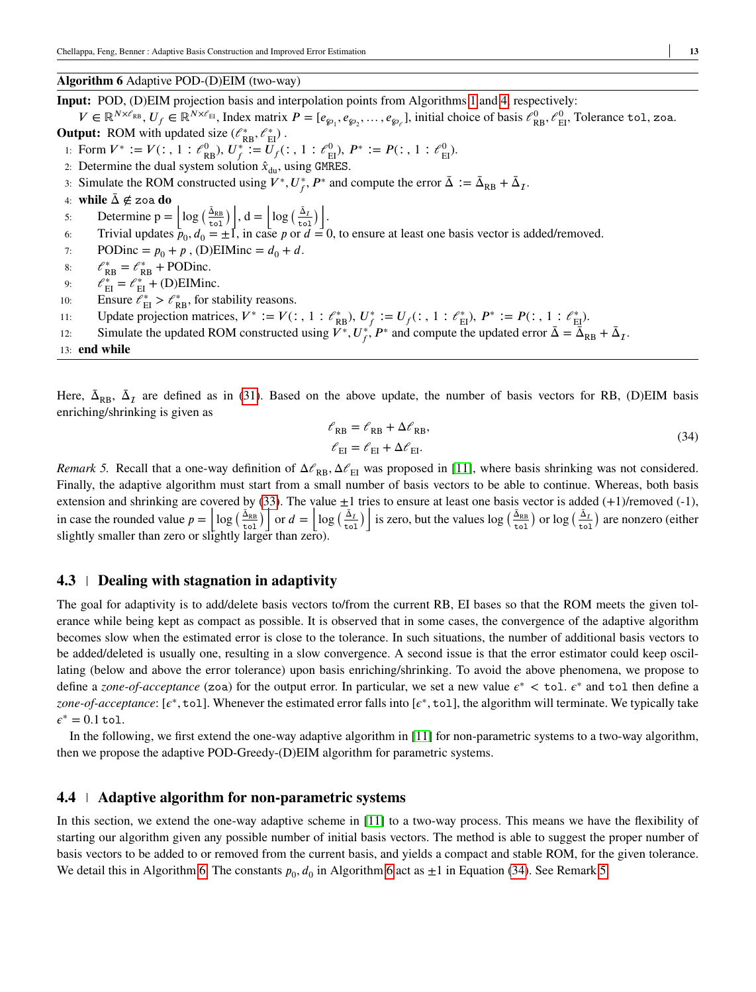#### <span id="page-12-0"></span>**Algorithm 6** Adaptive POD-(D)EIM (two-way)

**Input:** POD, (D)EIM projection basis and interpolation points from Algorithms [1](#page-4-0) and [4,](#page-6-0) respectively:

 $V \in \mathbb{R}^{N \times \ell_{\text{RB}}}$ ,  $U_f \in \mathbb{R}^{N \times \ell_{\text{EI}}}$ , Index matrix  $P = [e_{\wp_1}, e_{\wp_2}, \dots, e_{\wp_\ell}]$ , initial choice of basis  $\ell_{\text{RB}}^0, \ell_{\text{EI}}^0$ , Tolerance tol, zoa.

**Output:** ROM with updated size  $(\ell_{RB}^*, \ell_{EI}^*)$ .

- 1: Form  $V^* := V(:, 1 : \mathcal{C}_{RB}^0), U_f^* := U_f(:, 1 : \mathcal{C}_{EI}^0), P^* := P(:, 1 : \mathcal{C}_{EI}^0)$ .
- 2: Determine the dual system solution  $\hat{x}_{du}$ , using GMRES.
- 3: Simulate the ROM constructed using  $V^*$ ,  $U_f^*$ ,  $P^*$  and compute the error  $\bar{\Delta} := \bar{\Delta}_{RB} + \bar{\Delta}_I$ .
- 4: **while** Δ ∉*̄* zoa **do**
- 4: **WHILE**  $\Delta \not\in \text{Zoa}$  **ao**<br>5: Determine  $p = \left\lfloor \log \left( \frac{\bar{\Delta}_{RB}}{tol} \right) \right\rfloor$  $\Big| \Big|, d = \Big| \log \Big( \frac{\bar{\Delta}_1}{\bar{\Delta}_2} \Big|$ tol  $\sqrt{1}$ .
- 6: Trivial updates  $\bar{p}_0, d_0 = \pm 1$ , in case p or  $d = 0$ , to ensure at least one basis vector is added/removed.
- 7: PODinc =  $p_0 + p$ , (D)EIMinc =  $d_0 + d$ .
- 8:  $\ell_{RB}^* = \ell_{RB}^*$  + PODinc.
- 9:  $\ell_{\text{EI}}^* = \ell_{\text{EI}}^* + \text{(D)EIMinc.}$
- 10: Ensure  $\ell_{\rm EI}^* > \ell_{\rm RB}^*$ , for stability reasons.
- 11: Update projection matrices,  $V^* := V(:, 1 : \mathcal{C}_{RB}^*), U_f^* := U_f(:, 1 : \mathcal{C}_{EI}^*), P^* := P(:, 1 : \mathcal{C}_{EI}^*).$
- 12: Simulate the updated ROM constructed using  $\overline{V^*}, U_f^* \overline{P^*}$  and compute the updated error  $\overline{\Delta} = \overline{\Delta}_{RB} + \overline{\Delta}_I$ .
- 13: **end while**

Here,  $\bar{\Delta}_{RB}$ ,  $\bar{\Delta}_I$  are defined as in [\(31\)](#page-11-0). Based on the above update, the number of basis vectors for RB, (D)EIM basis enriching/shrinking is given as

<span id="page-12-1"></span>
$$
\mathcal{C}_{RB} = \mathcal{C}_{RB} + \Delta \mathcal{C}_{RB},
$$
  
\n
$$
\mathcal{C}_{EI} = \mathcal{C}_{EI} + \Delta \mathcal{C}_{EI}.
$$
\n(34)

<span id="page-12-2"></span>*Remark 5.* Recall that a one-way definition of  $\Delta \ell_{RB}$ ,  $\Delta \ell_{EI}$  was proposed in [\[11\]](#page-24-5), where basis shrinking was not considered. Finally, the adaptive algorithm must start from a small number of basis vectors to be able to continue. Whereas, both basis extension and shrinking are covered by [\(33\)](#page-11-2). The value  $\pm 1$  tries to ensure at least one basis vector is added (+1)/removed (-1), in case the rounded value  $p = \left[ \log \left( \frac{\overline{\Delta_{RB}}}{\overline{\text{tol}} \right) \right]$  $\int \cot^2 \theta \, d\theta = \left| \log \left( \frac{\Delta_1}{\Delta_2} \right) \right|$ tol ) is zero, but the values  $\log \left( \frac{\bar{\Delta}_{\text{RB}}}{\text{tol}} \right)$ or  $\log\left(\frac{\bar{\Delta}_I}{\Delta} \right)$ tol archived (either)<br>
are nonzero (either) slightly smaller than zero or slightly larger than zero).

#### **4.3 Dealing with stagnation in adaptivity**

The goal for adaptivity is to add/delete basis vectors to/from the current RB, EI bases so that the ROM meets the given tolerance while being kept as compact as possible. It is observed that in some cases, the convergence of the adaptive algorithm becomes slow when the estimated error is close to the tolerance. In such situations, the number of additional basis vectors to be added/deleted is usually one, resulting in a slow convergence. A second issue is that the error estimator could keep oscillating (below and above the error tolerance) upon basis enriching/shrinking. To avoid the above phenomena, we propose to define a *zone-of-acceptance* (zoa) for the output error. In particular, we set a new value  $\epsilon^* < \text{tol. } \epsilon^*$  and  $\text{tol. } \text{then define a}$ zone-of-acceptance: [ $\varepsilon^*$ , tol]. Whenever the estimated error falls into [ $\varepsilon^*$ , tol], the algorithm will terminate. We typically take  $\epsilon^* = 0.1$  tol.

In the following, we first extend the one-way adaptive algorithm in [\[11\]](#page-24-5) for non-parametric systems to a two-way algorithm, then we propose the adaptive POD-Greedy-(D)EIM algorithm for parametric systems.

#### **4.4 Adaptive algorithm for non-parametric systems**

In this section, we extend the one-way adaptive scheme in [\[11\]](#page-24-5) to a two-way process. This means we have the flexibility of starting our algorithm given any possible number of initial basis vectors. The method is able to suggest the proper number of basis vectors to be added to or removed from the current basis, and yields a compact and stable ROM, for the given tolerance. We detail this in Algorithm [6.](#page-12-0) The constants  $p_0$ ,  $d_0$  in Algorithm [6](#page-12-0) act as  $\pm 1$  in Equation [\(34\)](#page-12-1). See Remark [5.](#page-12-2)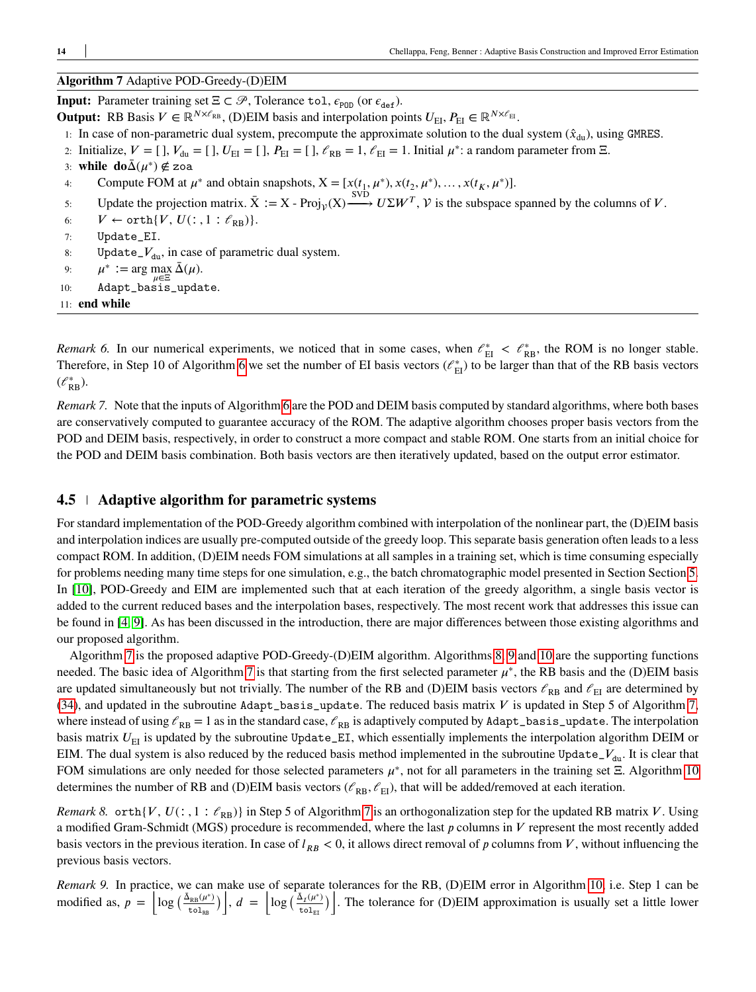## <span id="page-13-0"></span>**Algorithm 7** Adaptive POD-Greedy-(D)EIM

**Input:** Parameter training set  $\Xi \subset \mathcal{P}$ , Tolerance tol,  $\epsilon_{\text{pop}}$  (or  $\epsilon_{\text{def}}$ ).

- **Output:** RB Basis  $V \in \mathbb{R}^{N \times \ell_{RB}}$ , (D)EIM basis and interpolation points  $U_{\text{FI}}, P_{\text{FI}} \in \mathbb{R}^{N \times \ell_{EI}}$ .
- 1: In case of non-parametric dual system, precompute the approximate solution to the dual system  $(\hat{x}_{du})$ , using GMRES.
- 2: Initialize,  $V = [$ ],  $V_{du} = [$ ],  $U_{EI} = [$ ],  $P_{EI} = [$ ],  $\ell_{RB} = 1$ ,  $\ell_{EI} = 1$ . Initial  $\mu^*$ : a random parameter from  $\Xi$ .
- 3: **while**  $\mathbf{do}\bar{\Delta}(\mu^*) \notin \mathsf{zoa}$
- 4: Compute FOM at  $\mu^*$  and obtain snapshots,  $X = [x(t_1, \mu^*), x(t_2, \mu^*), \dots, x(t_K, \mu^*)]$ .
- 5: Update the projection matrix.  $\bar{X} := X \text{Proj}_{\mathcal{V}}(X) \xrightarrow{\text{SVD}} U \Sigma W^T$ ,  $\mathcal{V}$  is the subspace spanned by the columns of *V*.
- 6:  $V \leftarrow \text{orth}\{V, U(:, 1 : \ell_{\text{RB}})\}.$
- 7: Update\_EI.
- 8: Update<sub> $-V_{du}$ </sub>, in case of parametric dual system.
- 9:  $\mu^* := \arg \max_{\mathbb{Z}} \bar{\Delta}(\mu).$
- 10: Adapt\_basis\_update.
- 11: **end while**

*Remark 6.* In our numerical experiments, we noticed that in some cases, when  $\ell_{\text{EI}}^* < \ell_{\text{RB}}^*$ , the ROM is no longer stable. Therefore, in Step 10 of Algorithm [6](#page-12-0) we set the number of EI basis vectors  $(\ell_{\text{EI}}^*)$  to be larger than that of the RB basis vectors  $(\mathscr{C}_{RB}^*).$ 

*Remark 7.* Note that the inputs of Algorithm [6](#page-12-0) are the POD and DEIM basis computed by standard algorithms, where both bases are conservatively computed to guarantee accuracy of the ROM. The adaptive algorithm chooses proper basis vectors from the POD and DEIM basis, respectively, in order to construct a more compact and stable ROM. One starts from an initial choice for the POD and DEIM basis combination. Both basis vectors are then iteratively updated, based on the output error estimator.

## **4.5 Adaptive algorithm for parametric systems**

For standard implementation of the POD-Greedy algorithm combined with interpolation of the nonlinear part, the (D)EIM basis and interpolation indices are usually pre-computed outside of the greedy loop. This separate basis generation often leads to a less compact ROM. In addition, (D)EIM needs FOM simulations at all samples in a training set, which is time consuming especially for problems needing many time steps for one simulation, e.g., the batch chromatographic model presented in Section Section [5.](#page-14-0) In [\[10\]](#page-24-8), POD-Greedy and EIM are implemented such that at each iteration of the greedy algorithm, a single basis vector is added to the current reduced bases and the interpolation bases, respectively. The most recent work that addresses this issue can be found in [\[4,](#page-24-6) [9\]](#page-24-7). As has been discussed in the introduction, there are major differences between those existing algorithms and our proposed algorithm.

Algorithm [7](#page-13-0) is the proposed adaptive POD-Greedy-(D)EIM algorithm. Algorithms [8,](#page-14-1) [9](#page-14-2) and [10](#page-14-3) are the supporting functions needed. The basic idea of Algorithm [7](#page-13-0) is that starting from the first selected parameter  $\mu^*$ , the RB basis and the (D)EIM basis are updated simultaneously but not trivially. The number of the RB and (D)EIM basis vectors  $\ell_{RB}$  and  $\ell_{EI}$  are determined by [\(34\)](#page-12-1), and updated in the subroutine  $Adapt\_basis\_update$ . The reduced basis matrix  $V$  is updated in Step 5 of Algorithm [7,](#page-13-0) where instead of using  $\ell_{RB} = 1$  as in the standard case,  $\ell_{RB}$  is adaptively computed by Adapt\_basis\_update. The interpolation basis matrix  $U_{\text{EI}}$  is updated by the subroutine Update\_EI, which essentially implements the interpolation algorithm DEIM or EIM. The dual system is also reduced by the reduced basis method implemented in the subroutine Update<sub> $-V_{\text{du}}$ </sub>. It is clear that FOM simulations are only needed for those selected parameters  $\mu^*$ , not for all parameters in the training set  $\Xi$ . Algorithm [10](#page-14-3) determines the number of RB and (D)EIM basis vectors ( $\ell_{\rm RB}, \ell_{\rm EI}$ ), that will be added/removed at each iteration.

*Remark 8.* orth $\{V, U(:, 1 : \ell_{RB})\}$  in Step 5 of Algorithm [7](#page-13-0) is an orthogonalization step for the updated RB matrix *V*. Using a modified Gram-Schmidt (MGS) procedure is recommended, where the last *p* columns in *V* represent the most recently added basis vectors in the previous iteration. In case of  $l_{RB}$  < 0, it allows direct removal of p columns from V, without influencing the previous basis vectors.

*Remark 9.* In practice, we can make use of separate tolerances for the RB, (D)EIM error in Algorithm [10,](#page-14-3) i.e. Step 1 can be modified as,  $p =$  $\log \left( \frac{\bar{\Delta}_{RB}(\mu^*)}{\sigma^2} \right)$  $\mathtt{tol}_\mathtt{RB}$ اللہ<br>ا  $, d =$  $\log \left( \frac{\Delta_{\text{I}}(\mu^*)}{\sigma_{\text{I}}^2} \right)$  $\mathtt{tol}_\mathtt{EI}$ ∵<br>∖∣ . The tolerance for (D)EIM approximation is usually set a little lower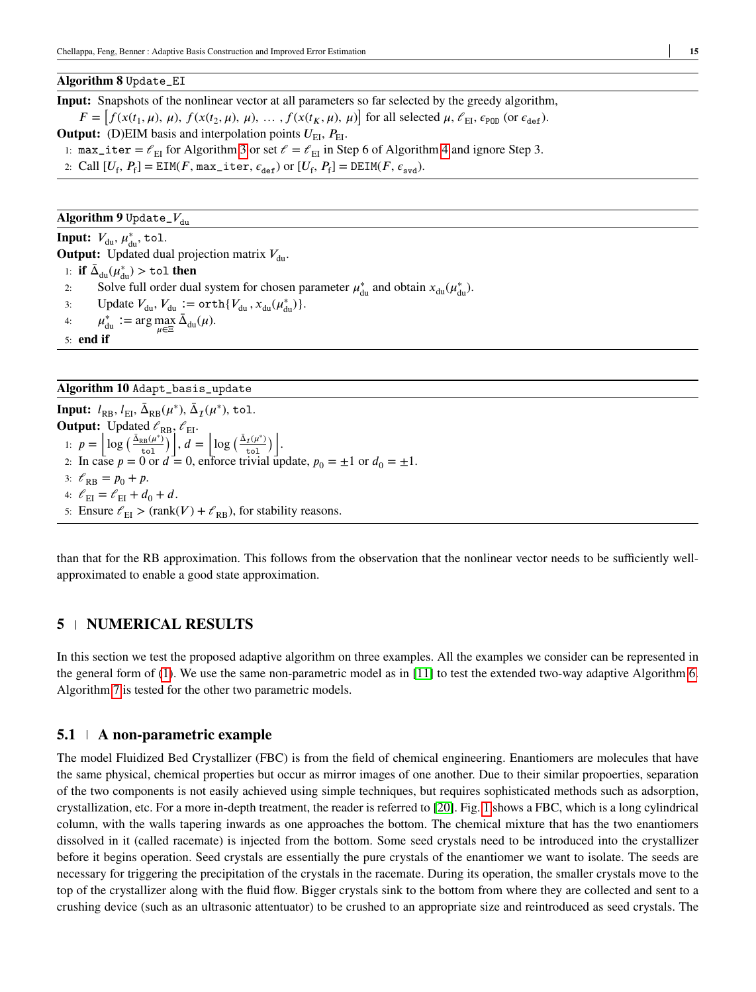### <span id="page-14-1"></span>**Algorithm 8** Update\_EI

**Input:** Snapshots of the nonlinear vector at all parameters so far selected by the greedy algorithm,  $F = [f(x(t_1, \mu), \mu), f(x(t_2, \mu), \mu), \dots, f(x(t_K, \mu), \mu)]$  for all selected  $\mu$ ,  $\ell_{\text{EI}}$ ,  $\epsilon_{\text{POD}}$  (or  $\epsilon_{\text{def}}$ ). **Output:** (D)EIM basis and interpolation points  $U_{\text{FI}}$ ,  $P_{\text{FI}}$ .

1: max\_iter =  $\ell_{\text{FI}}$  for Algorithm [3](#page-5-0) or set  $\ell = \ell_{\text{EI}}$  in Step 6 of Algorithm [4](#page-6-0) and ignore Step 3.

2: Call  $[U_f, P_f] = \text{EIM}(F, \text{max\_iter}, \epsilon_{\text{def}})$  or  $[U_f, P_f] = \text{DEIM}(F, \epsilon_{\text{svd}})$ .

## <span id="page-14-2"></span>**Algorithm 9** Update\_ $V_{\text{du}}$

**Input:**  $V_{\text{du}}$ ,  $\mu_{\text{du}}^*$ , tol.

**Output:** Updated dual projection matrix  $V_{\text{du}}$ . 1: **if**  $\bar{\Delta}_{du}(\mu_{du}^*)$  > tol **then** 

- 2: Solve full order dual system for chosen parameter  $\mu_{du}^*$  and obtain  $x_{du}(\mu_{du}^*)$ .
- 3: Update  $V_{du}$ ,  $V_{du}$   $:= \operatorname{orth}\{V_{du}, x_{du}(\mu^*_{du})\}.$
- 4:  $\mu_{du}^* := \arg \max_{\mu \in \Xi} \bar{\Delta}_{du}(\mu).$
- 5: **end if**

#### <span id="page-14-3"></span>**Algorithm 10** Adapt\_basis\_update

**Input:**  $l_{RB}$ ,  $l_{EI}$ ,  $\bar{\Delta}_{RB}(\mu^*)$ ,  $\bar{\Delta}_{I}(\mu^*)$ , tol. **Output:** Updated  $\ell_{RB}$ ,  $\ell_{EI}$ . 1:  $p =$  $\log \left( \frac{\bar{\Delta}_{RB}(\mu^*)}{t_0} \right)$ tol  $\mathbb{B}^1_1$  $, d =$  $\log \left( \frac{\bar{\Delta}_{\mathcal{I}}(\mu^*)}{\sigma^2} \right)$ tol  $\sqrt{1}$ . 2: In case  $p = 0$  or  $d = 0$ , enforce trivial update,  $p_0 = \pm 1$  or  $d_0 = \pm 1$ . 3:  $\ell_{\rm RR} = p_0 + p$ . 4:  $\mathcal{C}_\mathrm{EI} = \mathcal{C}_\mathrm{EI} + d_0 + d.$ 5: Ensure  $\ell_{\text{EI}}$  > (rank(V) +  $\ell_{\text{RB}}$ ), for stability reasons.

than that for the RB approximation. This follows from the observation that the nonlinear vector needs to be sufficiently wellapproximated to enable a good state approximation.

## <span id="page-14-0"></span>**5 NUMERICAL RESULTS**

In this section we test the proposed adaptive algorithm on three examples. All the examples we consider can be represented in the general form of [\(1\)](#page-3-0). We use the same non-parametric model as in [\[11\]](#page-24-5) to test the extended two-way adaptive Algorithm [6.](#page-12-0) Algorithm [7](#page-13-0) is tested for the other two parametric models.

## **5.1 A non-parametric example**

The model Fluidized Bed Crystallizer (FBC) is from the field of chemical engineering. Enantiomers are molecules that have the same physical, chemical properties but occur as mirror images of one another. Due to their similar propoerties, separation of the two components is not easily achieved using simple techniques, but requires sophisticated methods such as adsorption, crystallization, etc. For a more in-depth treatment, the reader is referred to [\[20\]](#page-24-18). Fig. [1](#page-15-0) shows a FBC, which is a long cylindrical column, with the walls tapering inwards as one approaches the bottom. The chemical mixture that has the two enantiomers dissolved in it (called racemate) is injected from the bottom. Some seed crystals need to be introduced into the crystallizer before it begins operation. Seed crystals are essentially the pure crystals of the enantiomer we want to isolate. The seeds are necessary for triggering the precipitation of the crystals in the racemate. During its operation, the smaller crystals move to the top of the crystallizer along with the fluid flow. Bigger crystals sink to the bottom from where they are collected and sent to a crushing device (such as an ultrasonic attentuator) to be crushed to an appropriate size and reintroduced as seed crystals. The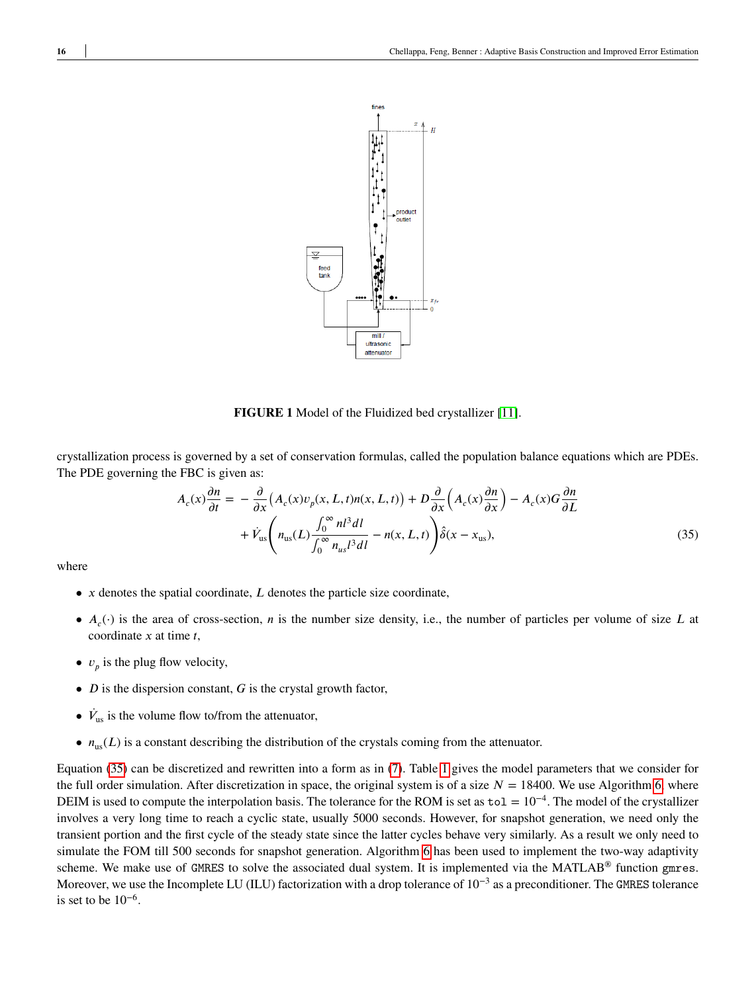<span id="page-15-0"></span>

<span id="page-15-1"></span>**FIGURE 1** Model of the Fluidized bed crystallizer [\[11\]](#page-24-5).

crystallization process is governed by a set of conservation formulas, called the population balance equations which are PDEs. The PDE governing the FBC is given as:

$$
A_c(x)\frac{\partial n}{\partial t} = -\frac{\partial}{\partial x}\left(A_c(x)v_p(x, L, t)n(x, L, t)\right) + D\frac{\partial}{\partial x}\left(A_c(x)\frac{\partial n}{\partial x}\right) - A_c(x)G\frac{\partial n}{\partial L} + \dot{V}_{us}\left(n_{us}(L)\frac{\int_0^\infty n^{3}dl}{\int_0^\infty n_{us}l^3dl} - n(x, L, t)\right)\hat{\delta}(x - x_{us}),
$$
\n(35)

where

- $x$  denotes the spatial coordinate,  $L$  denotes the particle size coordinate,
- $A_c(\cdot)$  is the area of cross-section, *n* is the number size density, i.e., the number of particles per volume of size *L* at coordinate *x* at time *t*,
- $v_p$  is the plug flow velocity,
- $D$  is the dispersion constant,  $G$  is the crystal growth factor,
- $\dot{V}_{\text{us}}$  is the volume flow to/from the attenuator,
- $n_{\text{us}}(L)$  is a constant describing the distribution of the crystals coming from the attenuator.

Equation [\(35\)](#page-15-1) can be discretized and rewritten into a form as in [\(7\)](#page-7-1). Table [1](#page-16-0) gives the model parameters that we consider for the full order simulation. After discretization in space, the original system is of a size  $N = 18400$ . We use Algorithm [6,](#page-12-0) where DEIM is used to compute the interpolation basis. The tolerance for the ROM is set as to1 = 10<sup>-4</sup>. The model of the crystallizer involves a very long time to reach a cyclic state, usually 5000 seconds. However, for snapshot generation, we need only the transient portion and the first cycle of the steady state since the latter cycles behave very similarly. As a result we only need to simulate the FOM till 500 seconds for snapshot generation. Algorithm [6](#page-12-0) has been used to implement the two-way adaptivity scheme. We make use of GMRES to solve the associated dual system. It is implemented via the MATLAB<sup>®</sup> function gmres. Moreover, we use the Incomplete LU (ILU) factorization with a drop tolerance of  $10^{-3}$  as a preconditioner. The GMRES tolerance is set to be  $10^{-6}$ .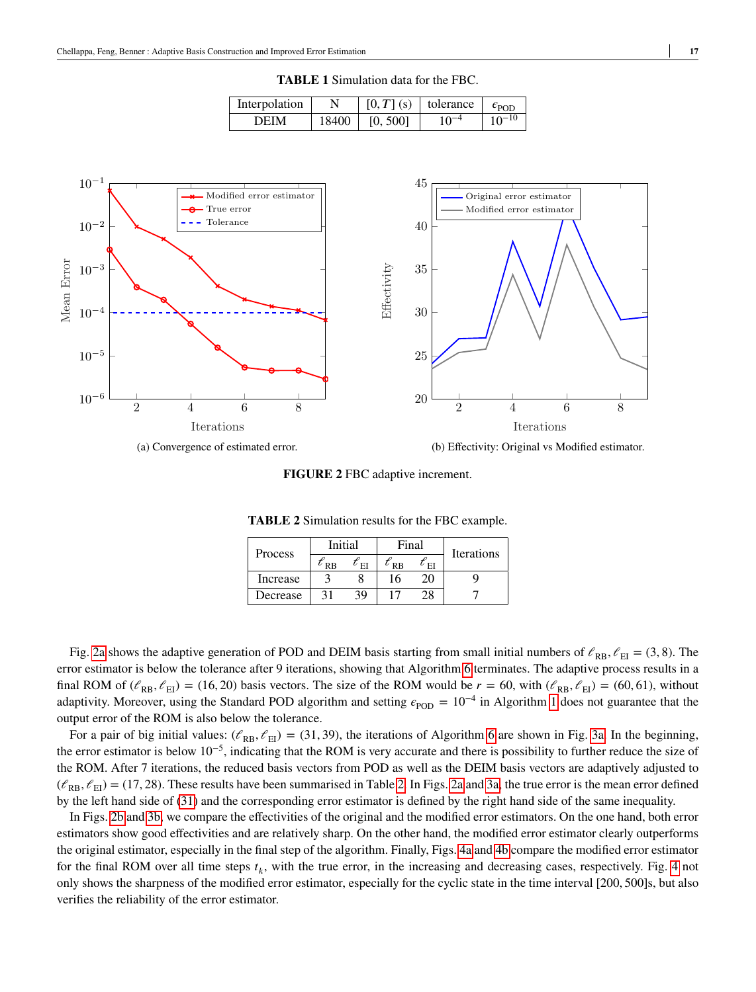| Interpolation |       |          | $[0, T]$ (s)   tolerance | $\epsilon_{\rm POD}$ |
|---------------|-------|----------|--------------------------|----------------------|
| DEIM          | 18400 | [0, 500] | $10^{-4}$                | $10^{-10}$           |

**TABLE 1** Simulation data for the FBC.

<span id="page-16-1"></span><span id="page-16-0"></span>

**FIGURE 2** FBC adaptive increment.

| Process  | Initial              |    | Final   |    | <b>Iterations</b> |  |
|----------|----------------------|----|---------|----|-------------------|--|
|          | <b>R<sub>B</sub></b> | EI | $R$ $R$ | E  |                   |  |
| Increase |                      |    | 16      | 20 |                   |  |
| Decrease | 21                   | 39 |         |    |                   |  |

**TABLE 2** Simulation results for the FBC example.

<span id="page-16-2"></span>Fig. [2a](#page-16-1) shows the adaptive generation of POD and DEIM basis starting from small initial numbers of  $\ell_{RB}$ ,  $\ell_{EI} = (3, 8)$ . The error estimator is below the tolerance after 9 iterations, showing that Algorithm [6](#page-12-0) terminates. The adaptive process results in a final ROM of  $(\ell_{RB}, \ell_{EI}) = (16, 20)$  basis vectors. The size of the ROM would be  $r = 60$ , with  $(\ell_{RB}, \ell_{EI}) = (60, 61)$ , without adaptivity. Moreover, using the Standard POD algorithm and setting  $\epsilon_{\text{POD}} = 10^{-4}$  $\epsilon_{\text{POD}} = 10^{-4}$  $\epsilon_{\text{POD}} = 10^{-4}$  in Algorithm 1 does not guarantee that the output error of the ROM is also below the tolerance.

For a pair of big initial values:  $(\ell_{RB}, \ell_{EI}) = (31, 39)$ , the iterations of Algorithm [6](#page-12-0) are shown in Fig. [3a.](#page-17-0) In the beginning, the error estimator is below 10−5, indicating that the ROM is very accurate and there is possibility to further reduce the size of the ROM. After 7 iterations, the reduced basis vectors from POD as well as the DEIM basis vectors are adaptively adjusted to  $(\ell_{\rm RR}, \ell_{\rm EI})$  = (17, 28). These results have been summarised in Table [2.](#page-16-2) In Figs. [2a](#page-16-1) and [3a,](#page-17-0) the true error is the mean error defined by the left hand side of [\(31\)](#page-11-0) and the corresponding error estimator is defined by the right hand side of the same inequality.

In Figs. [2b](#page-16-1) and [3b,](#page-17-0) we compare the effectivities of the original and the modified error estimators. On the one hand, both error estimators show good effectivities and are relatively sharp. On the other hand, the modified error estimator clearly outperforms the original estimator, especially in the final step of the algorithm. Finally, Figs. [4a](#page-17-1) and [4b](#page-17-1) compare the modified error estimator for the final ROM over all time steps  $t_k$ , with the true error, in the increasing and decreasing cases, respectively. Fig. [4](#page-17-1) not only shows the sharpness of the modified error estimator, especially for the cyclic state in the time interval [200*,* 500]s, but also verifies the reliability of the error estimator.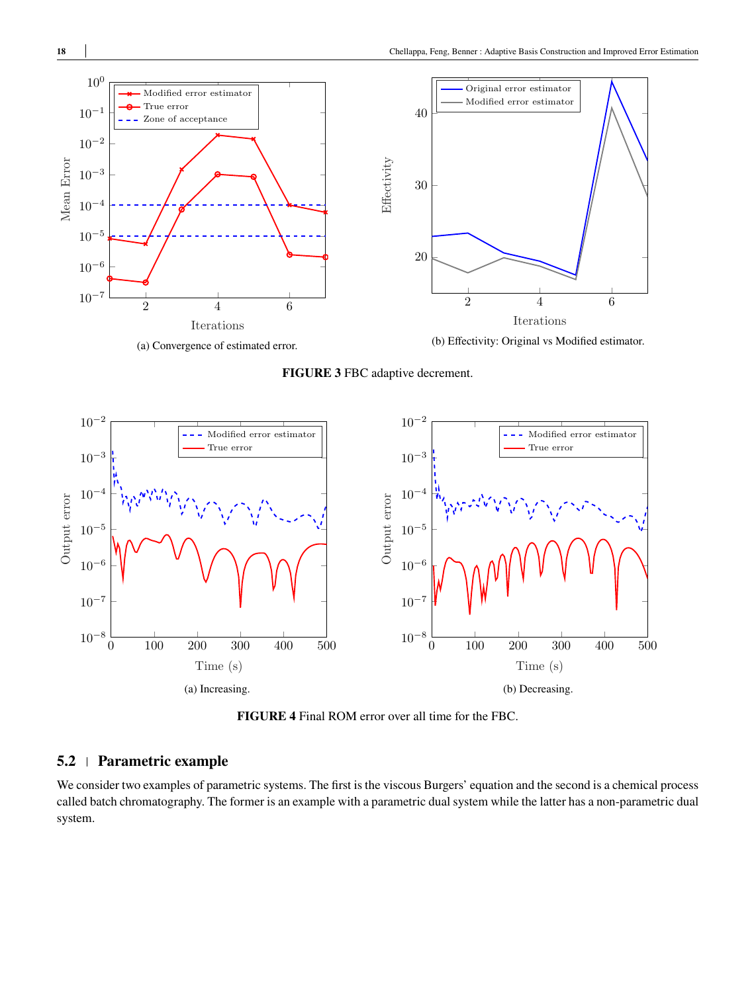<span id="page-17-0"></span>

(a) Convergence of estimated error.

**FIGURE 3** FBC adaptive decrement.

<span id="page-17-1"></span>

**FIGURE 4** Final ROM error over all time for the FBC.

## **5.2 Parametric example**

We consider two examples of parametric systems. The first is the viscous Burgers' equation and the second is a chemical process called batch chromatography. The former is an example with a parametric dual system while the latter has a non-parametric dual system.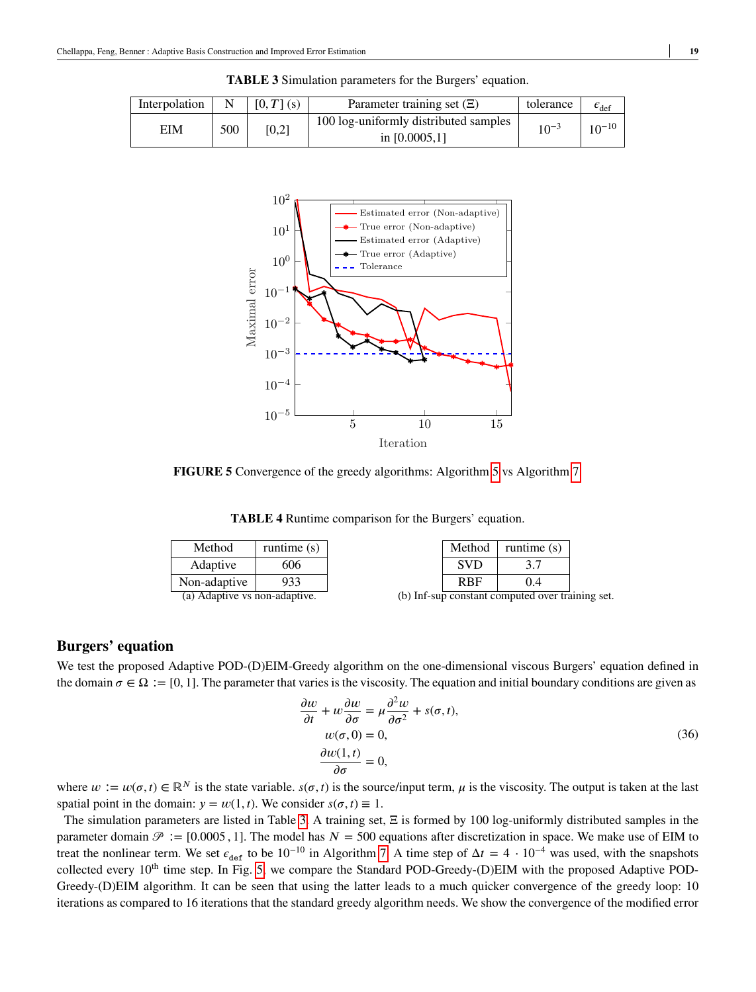<span id="page-18-1"></span><span id="page-18-0"></span>

| Interpolation |     | $[0, T]$ (s) | Parameter training set $(E)$                             | tolerance | $\epsilon_{\text{def}}$ |
|---------------|-----|--------------|----------------------------------------------------------|-----------|-------------------------|
| EIM           | 500 | [0,2]        | 100 log-uniformly distributed samples<br>in $[0.0005,1]$ | $10^{-3}$ | $10^{-10}$              |

**TABLE 3** Simulation parameters for the Burgers' equation.



<span id="page-18-2"></span>**FIGURE 5** Convergence of the greedy algorithms: Algorithm [5](#page-6-1) vs Algorithm [7.](#page-13-0)

**TABLE 4** Runtime comparison for the Burgers' equation.

| Method                        | runtime $(s)$ | Method     | runtime $(s)$                                    |  |
|-------------------------------|---------------|------------|--------------------------------------------------|--|
| Adaptive                      | 606           | <b>SVD</b> |                                                  |  |
| Non-adaptive                  | 933           | <b>RBF</b> | 0.4                                              |  |
| (a) Adaptive vs non-adaptive. |               |            | (b) Inf-sup constant computed over training set. |  |

## **Burgers' equation**

We test the proposed Adaptive POD-(D)EIM-Greedy algorithm on the one-dimensional viscous Burgers' equation defined in the domain  $\sigma \in \Omega := [0, 1]$ . The parameter that varies is the viscosity. The equation and initial boundary conditions are given as

$$
\frac{\partial w}{\partial t} + w \frac{\partial w}{\partial \sigma} = \mu \frac{\partial^2 w}{\partial \sigma^2} + s(\sigma, t),
$$
  
\n
$$
w(\sigma, 0) = 0,
$$
  
\n
$$
\frac{\partial w(1, t)}{\partial \sigma} = 0,
$$
\n(36)

where  $w := w(\sigma, t) \in \mathbb{R}^N$  is the state variable.  $s(\sigma, t)$  is the source/input term,  $\mu$  is the viscosity. The output is taken at the last spatial point in the domain:  $y = w(1, t)$ . We consider  $s(\sigma, t) \equiv 1$ .

The simulation parameters are listed in Table [3.](#page-18-0) A training set,  $\Xi$  is formed by 100 log-uniformly distributed samples in the parameter domain  $\mathcal{P} := [0.0005, 1]$ . The model has  $N = 500$  equations after discretization in space. We make use of EIM to treat the nonlinear term. We set  $\epsilon_{\text{def}}$  to be 10<sup>-10</sup> in Algorithm [7.](#page-13-0) A time step of  $\Delta t = 4 \cdot 10^{-4}$  was used, with the snapshots collected every 10<sup>th</sup> time step. In Fig. [5,](#page-18-1) we compare the Standard POD-Greedy-(D)EIM with the proposed Adaptive POD-Greedy-(D)EIM algorithm. It can be seen that using the latter leads to a much quicker convergence of the greedy loop: 10 iterations as compared to 16 iterations that the standard greedy algorithm needs. We show the convergence of the modified error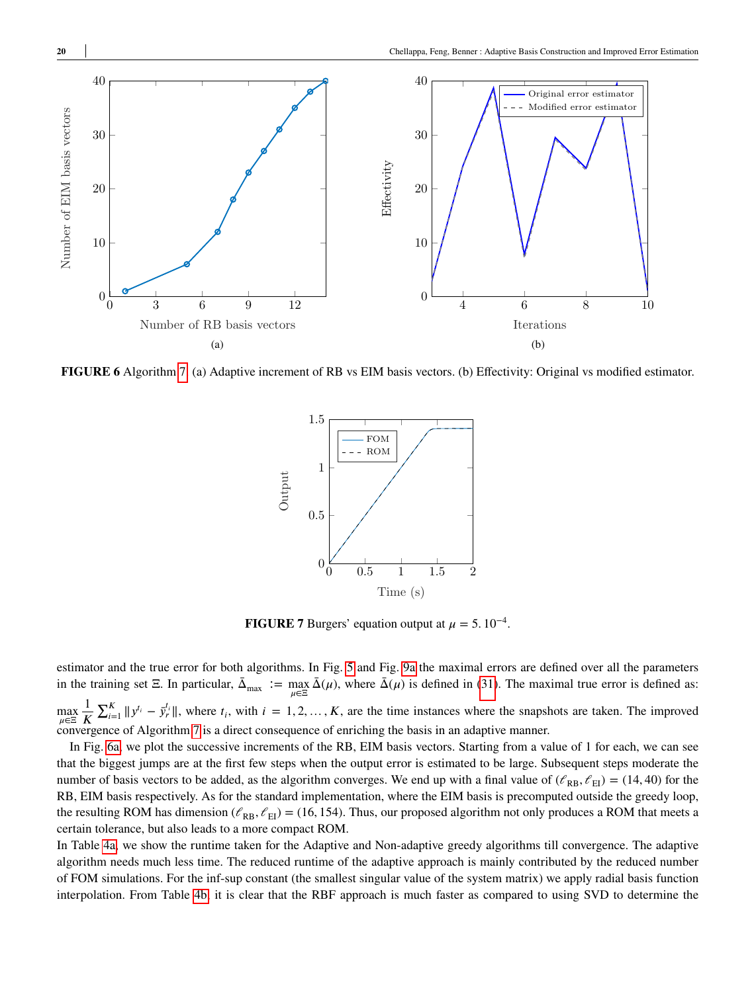<span id="page-19-0"></span>

<span id="page-19-1"></span>**FIGURE 6** Algorithm [7.](#page-13-0) (a) Adaptive increment of RB vs EIM basis vectors. (b) Effectivity: Original vs modified estimator.



**FIGURE 7** Burgers' equation output at  $\mu = 5.10^{-4}$ .

estimator and the true error for both algorithms. In Fig. [5](#page-18-1) and Fig. [9a](#page-22-0) the maximal errors are defined over all the parameters in the training set  $\Xi$ . In particular,  $\bar{\Delta}_{\text{max}} := \max_{\mu \in \Xi} \bar{\Delta}(\mu)$ , where  $\bar{\Delta}(\mu)$  is defined in [\(31\)](#page-11-0). The maximal true error is defined as: max<br>*µ*∈Ξ 1 *𝐾*  $\sum_{i=1}^{K} ||y^{t_i} - \bar{y}_r^{t_i}||$ , where  $t_i$ , with  $i = 1, 2, ..., K$ , are the time instances where the snapshots are taken. The improved convergence of Algorithm [7](#page-13-0) is a direct consequence of enriching the basis in an adaptive manner.

In Fig. [6a,](#page-19-0) we plot the successive increments of the RB, EIM basis vectors. Starting from a value of 1 for each, we can see that the biggest jumps are at the first few steps when the output error is estimated to be large. Subsequent steps moderate the number of basis vectors to be added, as the algorithm converges. We end up with a final value of  $(\ell_{RB}, \ell_{EI}) = (14, 40)$  for the RB, EIM basis respectively. As for the standard implementation, where the EIM basis is precomputed outside the greedy loop, the resulting ROM has dimension ( $\ell_{RB}$ ,  $\ell_{EI}$ ) = (16, 154). Thus, our proposed algorithm not only produces a ROM that meets a certain tolerance, but also leads to a more compact ROM.

In Table [4a,](#page-18-2) we show the runtime taken for the Adaptive and Non-adaptive greedy algorithms till convergence. The adaptive algorithm needs much less time. The reduced runtime of the adaptive approach is mainly contributed by the reduced number of FOM simulations. For the inf-sup constant (the smallest singular value of the system matrix) we apply radial basis function interpolation. From Table [4b,](#page-18-2) it is clear that the RBF approach is much faster as compared to using SVD to determine the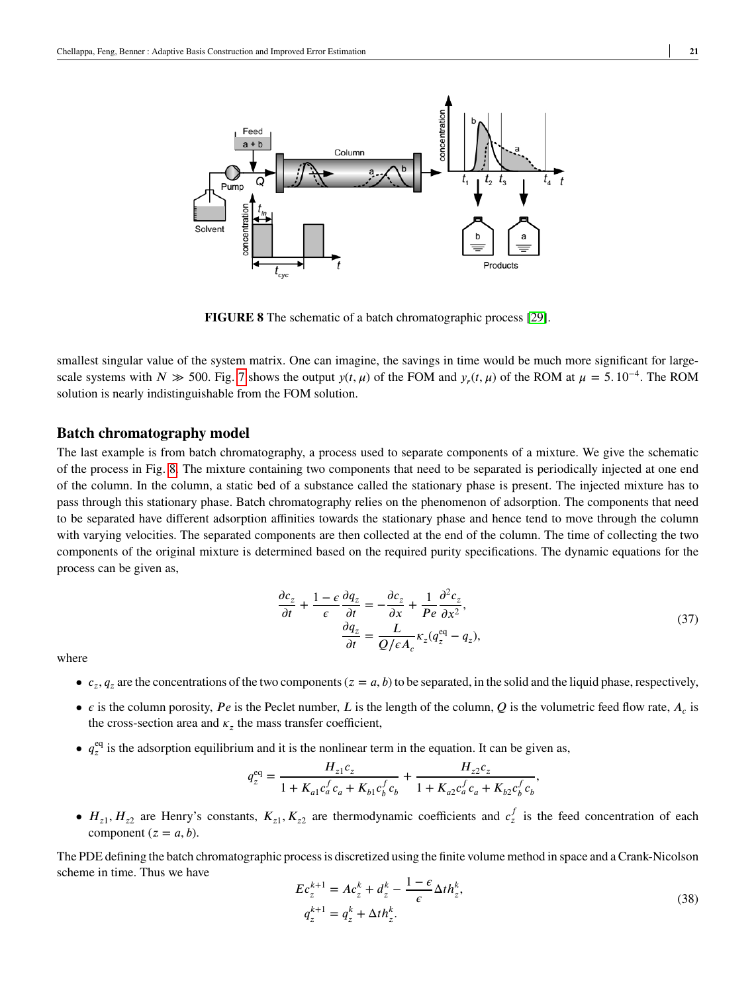<span id="page-20-0"></span>

**FIGURE 8** The schematic of a batch chromatographic process [\[29\]](#page-25-3).

smallest singular value of the system matrix. One can imagine, the savings in time would be much more significant for largescale systems with *N*  $\gg$  500. Fig. [7](#page-19-1) shows the output *y*(*t*,  $\mu$ ) of the FOM and *y<sub>r</sub>*(*t*,  $\mu$ ) of the ROM at  $\mu = 5.10^{-4}$ . The ROM solution is nearly indistinguishable from the FOM solution.

#### **Batch chromatography model**

The last example is from batch chromatography, a process used to separate components of a mixture. We give the schematic of the process in Fig. [8.](#page-20-0) The mixture containing two components that need to be separated is periodically injected at one end of the column. In the column, a static bed of a substance called the stationary phase is present. The injected mixture has to pass through this stationary phase. Batch chromatography relies on the phenomenon of adsorption. The components that need to be separated have different adsorption affinities towards the stationary phase and hence tend to move through the column with varying velocities. The separated components are then collected at the end of the column. The time of collecting the two components of the original mixture is determined based on the required purity specifications. The dynamic equations for the process can be given as,

$$
\frac{\partial c_z}{\partial t} + \frac{1 - \epsilon}{\epsilon} \frac{\partial q_z}{\partial t} = -\frac{\partial c_z}{\partial x} + \frac{1}{Pe} \frac{\partial^2 c_z}{\partial x^2},
$$
  

$$
\frac{\partial q_z}{\partial t} = \frac{L}{Q/\epsilon A_c} \kappa_z (q_z^{eq} - q_z),
$$
 (37)

<span id="page-20-1"></span>where

- $c_z$ ,  $q_z$  are the concentrations of the two components ( $z = a$ ,  $b$ ) to be separated, in the solid and the liquid phase, respectively,
- $\epsilon$  is the column porosity, *Pe* is the Peclet number, *L* is the length of the column, *Q* is the volumetric feed flow rate,  $A_c$  is the cross-section area and  $\kappa_z$  the mass transfer coefficient,
- $q_z^{\text{eq}}$  is the adsorption equilibrium and it is the nonlinear term in the equation. It can be given as,

$$
q_z^{\text{eq}} = \frac{H_{z1}c_z}{1 + K_{a1}c_a^f c_a + K_{b1}c_b^f c_b} + \frac{H_{z2}c_z}{1 + K_{a2}c_a^f c_a + K_{b2}c_b^f c_b},
$$

•  $H_{z1}$ ,  $H_{z2}$  are Henry's constants,  $K_{z1}$ ,  $K_{z2}$  are thermodynamic coefficients and  $c_z^f$  is the feed concentration of each component  $(z = a, b)$ .

The PDE defining the batch chromatographic process is discretized using the finite volume method in space and a Crank-Nicolson scheme in time. Thus we have

$$
Ec_z^{k+1} = Ac_z^k + d_z^k - \frac{1 - \epsilon}{\epsilon} \Delta th_z^k,
$$
  
\n
$$
q_z^{k+1} = q_z^k + \Delta th_z^k.
$$
\n(38)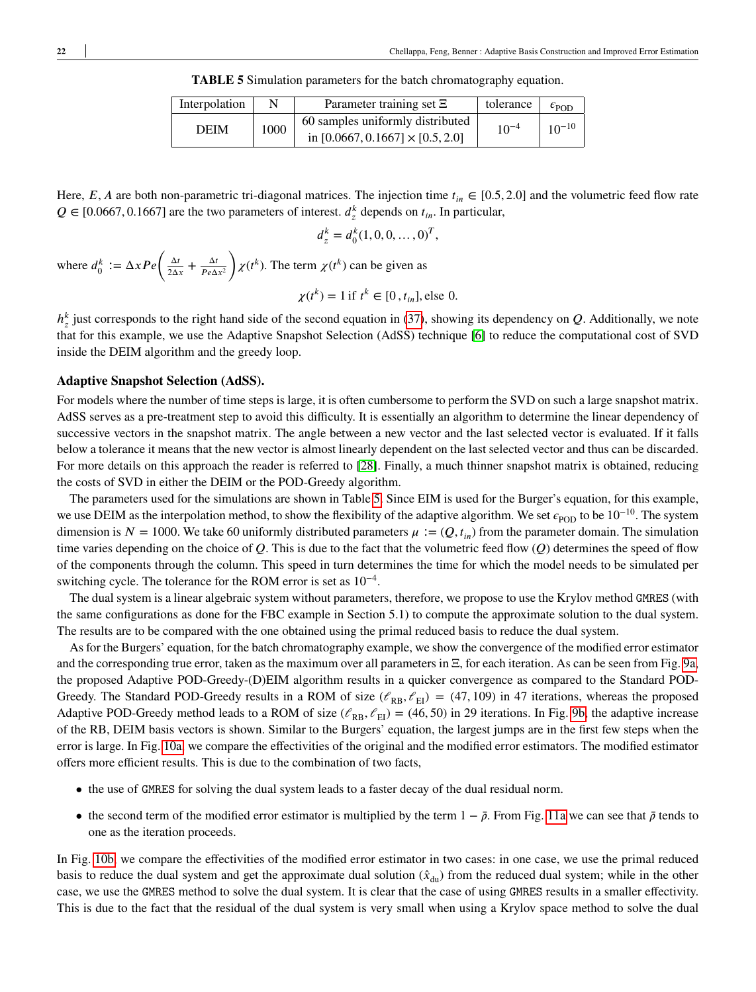**TABLE 5** Simulation parameters for the batch chromatography equation.

<span id="page-21-0"></span>

| Interpolation | N    | Parameter training set $\Xi$                                                | tolerance | $\epsilon_{\text{POD}}$ |
|---------------|------|-----------------------------------------------------------------------------|-----------|-------------------------|
| <b>DEIM</b>   | 1000 | 60 samples uniformly distributed<br>in $[0.0667, 0.1667] \times [0.5, 2.0]$ | $10^{-4}$ | $10^{-10}$              |

Here,  $E$ ,  $A$  are both non-parametric tri-diagonal matrices. The injection time  $t_{in} \in [0.5, 2.0]$  and the volumetric feed flow rate  $Q \in [0.0667, 0.1667]$  are the two parameters of interest.  $d_z^k$  depends on  $t_{in}$ . In particular,

$$
d_z^k = d_0^k (1, 0, 0, \dots, 0)^T,
$$

where  $d_0^k := \Delta x Pe \left( \frac{\Delta t}{2\Delta x} \right)$  $\frac{\Delta t}{2\Delta x} + \frac{\Delta t}{Pe\Delta}$  $Pe\Delta x^2$  $\mathbf{v}$  $\chi(t^k)$ . The term  $\chi(t^k)$  can be given as  $\chi(t^k) = 1$  if  $t^k \in [0, t_{in}],$  else 0.

 $h_z^k$  just corresponds to the right hand side of the second equation in [\(37\)](#page-20-1), showing its dependency on *Q*. Additionally, we note that for this example, we use the Adaptive Snapshot Selection (AdSS) technique [\[6\]](#page-24-19) to reduce the computational cost of SVD inside the DEIM algorithm and the greedy loop.

#### **Adaptive Snapshot Selection (AdSS).**

For models where the number of time steps is large, it is often cumbersome to perform the SVD on such a large snapshot matrix. AdSS serves as a pre-treatment step to avoid this difficulty. It is essentially an algorithm to determine the linear dependency of successive vectors in the snapshot matrix. The angle between a new vector and the last selected vector is evaluated. If it falls below a tolerance it means that the new vector is almost linearly dependent on the last selected vector and thus can be discarded. For more details on this approach the reader is referred to [\[28\]](#page-25-6). Finally, a much thinner snapshot matrix is obtained, reducing the costs of SVD in either the DEIM or the POD-Greedy algorithm.

The parameters used for the simulations are shown in Table [5.](#page-21-0) Since EIM is used for the Burger's equation, for this example, we use DEIM as the interpolation method, to show the flexibility of the adaptive algorithm. We set  $\epsilon_{\text{POD}}$  to be 10<sup>-10</sup>. The system dimension is  $N = 1000$ . We take 60 uniformly distributed parameters  $\mu := (Q, t_{in})$  from the parameter domain. The simulation time varies depending on the choice of  $Q$ . This is due to the fact that the volumetric feed flow  $(Q)$  determines the speed of flow of the components through the column. This speed in turn determines the time for which the model needs to be simulated per switching cycle. The tolerance for the ROM error is set as  $10^{-4}$ .

The dual system is a linear algebraic system without parameters, therefore, we propose to use the Krylov method GMRES (with the same configurations as done for the FBC example in Section 5.1) to compute the approximate solution to the dual system. The results are to be compared with the one obtained using the primal reduced basis to reduce the dual system.

As for the Burgers' equation, for the batch chromatography example, we show the convergence of the modified error estimator and the corresponding true error, taken as the maximum over all parameters in Ξ, for each iteration. As can be seen from Fig. [9a,](#page-22-0) the proposed Adaptive POD-Greedy-(D)EIM algorithm results in a quicker convergence as compared to the Standard POD-Greedy. The Standard POD-Greedy results in a ROM of size  $(\ell_{RB}, \ell_{EI}) = (47, 109)$  in 47 iterations, whereas the proposed Adaptive POD-Greedy method leads to a ROM of size  $(\ell_{RB}, \ell_{EI}) = (46, 50)$  in 29 iterations. In Fig. [9b,](#page-22-0) the adaptive increase of the RB, DEIM basis vectors is shown. Similar to the Burgers' equation, the largest jumps are in the first few steps when the error is large. In Fig. [10a,](#page-22-1) we compare the effectivities of the original and the modified error estimators. The modified estimator offers more efficient results. This is due to the combination of two facts,

- the use of GMRES for solving the dual system leads to a faster decay of the dual residual norm.
- the second term of the modified error estimator is multiplied by the term  $1 \bar{\rho}$ . From Fig. [11a](#page-23-2) we can see that  $\bar{\rho}$  tends to one as the iteration proceeds.

In Fig. [10b,](#page-22-1) we compare the effectivities of the modified error estimator in two cases: in one case, we use the primal reduced basis to reduce the dual system and get the approximate dual solution  $(\hat{x}_{du})$  from the reduced dual system; while in the other case, we use the GMRES method to solve the dual system. It is clear that the case of using GMRES results in a smaller effectivity. This is due to the fact that the residual of the dual system is very small when using a Krylov space method to solve the dual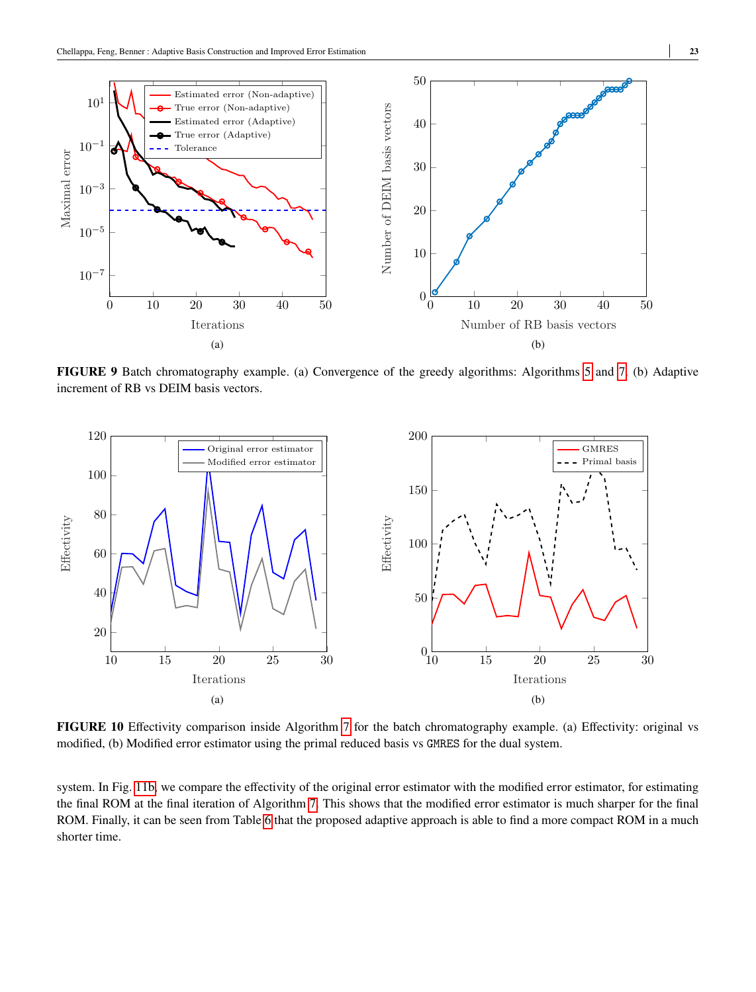<span id="page-22-0"></span>

**FIGURE 9** Batch chromatography example. (a) Convergence of the greedy algorithms: Algorithms [5](#page-6-1) and [7.](#page-13-0) (b) Adaptive increment of RB vs DEIM basis vectors.

<span id="page-22-1"></span>

**FIGURE 10** Effectivity comparison inside Algorithm [7](#page-13-0) for the batch chromatography example. (a) Effectivity: original vs modified, (b) Modified error estimator using the primal reduced basis vs GMRES for the dual system.

system. In Fig. [11b,](#page-23-2) we compare the effectivity of the original error estimator with the modified error estimator, for estimating the final ROM at the final iteration of Algorithm [7.](#page-13-0) This shows that the modified error estimator is much sharper for the final ROM. Finally, it can be seen from Table [6](#page-23-3) that the proposed adaptive approach is able to find a more compact ROM in a much shorter time.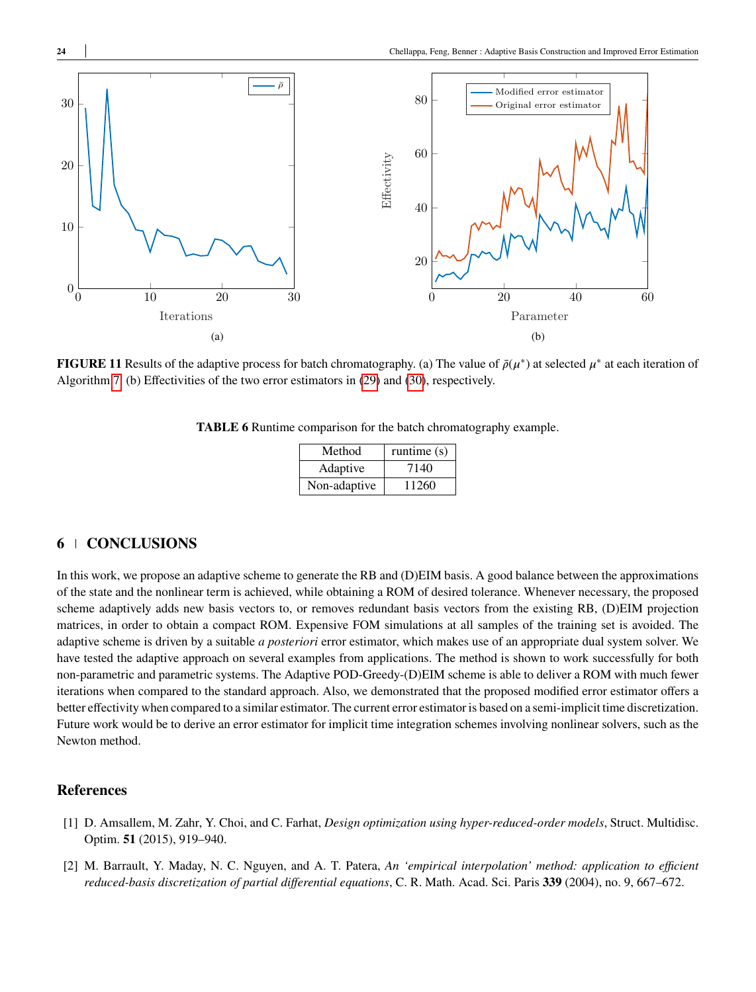<span id="page-23-2"></span>

<span id="page-23-3"></span>**FIGURE 11** Results of the adaptive process for batch chromatography. (a) The value of  $\bar{\rho}(\mu^*)$  at selected  $\mu^*$  at each iteration of Algorithm [7.](#page-13-0) (b) Effectivities of the two error estimators in [\(29\)](#page-11-3) and [\(30\)](#page-11-4), respectively.

| <b>TABLE 6</b> Runtime comparison for the batch chromatography example. |  |  |  |
|-------------------------------------------------------------------------|--|--|--|
|-------------------------------------------------------------------------|--|--|--|

| Method       | runtime $(s)$ |
|--------------|---------------|
| Adaptive     | 7140          |
| Non-adaptive | 11260         |

## **6 CONCLUSIONS**

In this work, we propose an adaptive scheme to generate the RB and (D)EIM basis. A good balance between the approximations of the state and the nonlinear term is achieved, while obtaining a ROM of desired tolerance. Whenever necessary, the proposed scheme adaptively adds new basis vectors to, or removes redundant basis vectors from the existing RB, (D)EIM projection matrices, in order to obtain a compact ROM. Expensive FOM simulations at all samples of the training set is avoided. The adaptive scheme is driven by a suitable *a posteriori* error estimator, which makes use of an appropriate dual system solver. We have tested the adaptive approach on several examples from applications. The method is shown to work successfully for both non-parametric and parametric systems. The Adaptive POD-Greedy-(D)EIM scheme is able to deliver a ROM with much fewer iterations when compared to the standard approach. Also, we demonstrated that the proposed modified error estimator offers a better effectivity when compared to a similar estimator. The current error estimator is based on a semi-implicit time discretization. Future work would be to derive an error estimator for implicit time integration schemes involving nonlinear solvers, such as the Newton method.

## **References**

- <span id="page-23-1"></span>[1] D. Amsallem, M. Zahr, Y. Choi, and C. Farhat, *Design optimization using hyper-reduced-order models*, Struct. Multidisc. Optim. **51** (2015), 919–940.
- <span id="page-23-0"></span>[2] M. Barrault, Y. Maday, N. C. Nguyen, and A. T. Patera, *An 'empirical interpolation' method: application to efficient reduced-basis discretization of partial differential equations*, C. R. Math. Acad. Sci. Paris **339** (2004), no. 9, 667–672.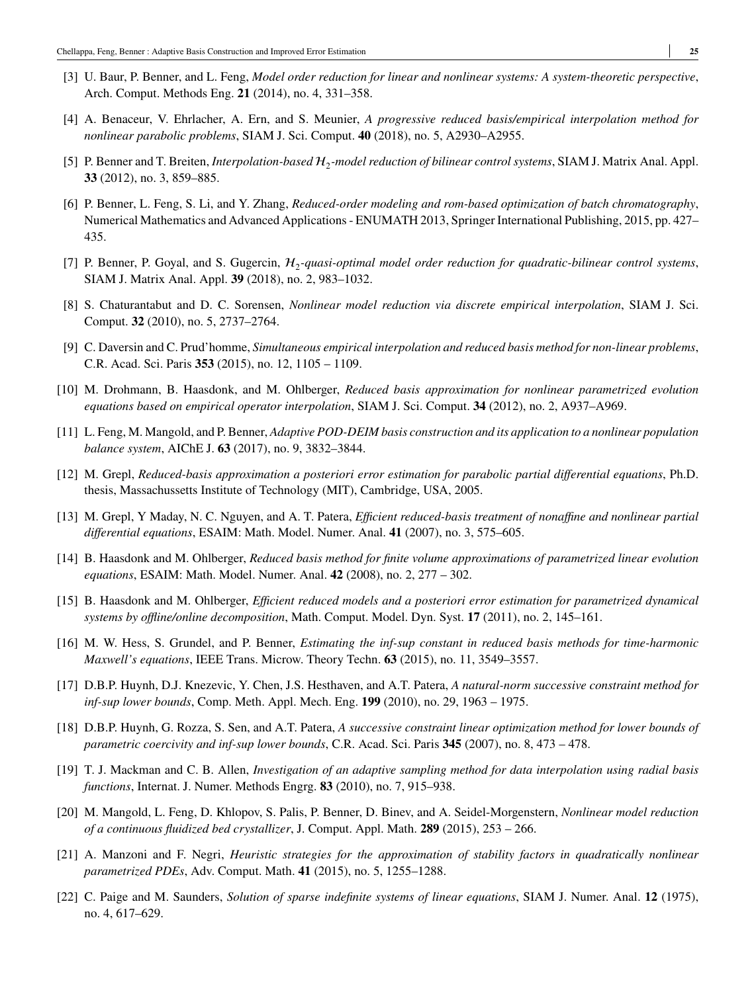- <span id="page-24-0"></span>[3] U. Baur, P. Benner, and L. Feng, *Model order reduction for linear and nonlinear systems: A system-theoretic perspective*, Arch. Comput. Methods Eng. **21** (2014), no. 4, 331–358.
- <span id="page-24-6"></span>[4] A. Benaceur, V. Ehrlacher, A. Ern, and S. Meunier, *A progressive reduced basis/empirical interpolation method for nonlinear parabolic problems*, SIAM J. Sci. Comput. **40** (2018), no. 5, A2930–A2955.
- <span id="page-24-1"></span>[5] P. Benner and T. Breiten, *Interpolation-based* <sup>2</sup> *-model reduction of bilinear control systems*, SIAM J. Matrix Anal. Appl. **33** (2012), no. 3, 859–885.
- <span id="page-24-19"></span>[6] P. Benner, L. Feng, S. Li, and Y. Zhang, *Reduced-order modeling and rom-based optimization of batch chromatography*, Numerical Mathematics and Advanced Applications - ENUMATH 2013, Springer International Publishing, 2015, pp. 427– 435.
- <span id="page-24-2"></span>[7] P. Benner, P. Goyal, and S. Gugercin,  $H_2$ -quasi-optimal model order reduction for quadratic-bilinear control systems, SIAM J. Matrix Anal. Appl. **39** (2018), no. 2, 983–1032.
- <span id="page-24-3"></span>[8] S. Chaturantabut and D. C. Sorensen, *Nonlinear model reduction via discrete empirical interpolation*, SIAM J. Sci. Comput. **32** (2010), no. 5, 2737–2764.
- <span id="page-24-7"></span>[9] C. Daversin and C. Prud'homme, *Simultaneous empirical interpolation and reduced basis method for non-linear problems*, C.R. Acad. Sci. Paris **353** (2015), no. 12, 1105 – 1109.
- <span id="page-24-8"></span>[10] M. Drohmann, B. Haasdonk, and M. Ohlberger, *Reduced basis approximation for nonlinear parametrized evolution equations based on empirical operator interpolation*, SIAM J. Sci. Comput. **34** (2012), no. 2, A937–A969.
- <span id="page-24-5"></span>[11] L. Feng, M. Mangold, and P. Benner, *Adaptive POD-DEIM basis construction and its application to a nonlinear population balance system*, AIChE J. **63** (2017), no. 9, 3832–3844.
- <span id="page-24-12"></span>[12] M. Grepl, *Reduced-basis approximation a posteriori error estimation for parabolic partial differential equations*, Ph.D. thesis, Massachussetts Institute of Technology (MIT), Cambridge, USA, 2005.
- <span id="page-24-4"></span>[13] M. Grepl, Y Maday, N. C. Nguyen, and A. T. Patera, *Efficient reduced-basis treatment of nonaffine and nonlinear partial differential equations*, ESAIM: Math. Model. Numer. Anal. **41** (2007), no. 3, 575–605.
- <span id="page-24-9"></span>[14] B. Haasdonk and M. Ohlberger, *Reduced basis method for finite volume approximations of parametrized linear evolution equations*, ESAIM: Math. Model. Numer. Anal. **42** (2008), no. 2, 277 – 302.
- <span id="page-24-13"></span>[15] B. Haasdonk and M. Ohlberger, *Efficient reduced models and a posteriori error estimation for parametrized dynamical systems by offline/online decomposition*, Math. Comput. Model. Dyn. Syst. **17** (2011), no. 2, 145–161.
- <span id="page-24-10"></span>[16] M. W. Hess, S. Grundel, and P. Benner, *Estimating the inf-sup constant in reduced basis methods for time-harmonic Maxwell's equations*, IEEE Trans. Microw. Theory Techn. **63** (2015), no. 11, 3549–3557.
- <span id="page-24-15"></span>[17] D.B.P. Huynh, D.J. Knezevic, Y. Chen, J.S. Hesthaven, and A.T. Patera, *A natural-norm successive constraint method for inf-sup lower bounds*, Comp. Meth. Appl. Mech. Eng. **199** (2010), no. 29, 1963 – 1975.
- <span id="page-24-16"></span>[18] D.B.P. Huynh, G. Rozza, S. Sen, and A.T. Patera, *A successive constraint linear optimization method for lower bounds of parametric coercivity and inf-sup lower bounds*, C.R. Acad. Sci. Paris **345** (2007), no. 8, 473 – 478.
- <span id="page-24-17"></span>[19] T. J. Mackman and C. B. Allen, *Investigation of an adaptive sampling method for data interpolation using radial basis functions*, Internat. J. Numer. Methods Engrg. **83** (2010), no. 7, 915–938.
- <span id="page-24-18"></span>[20] M. Mangold, L. Feng, D. Khlopov, S. Palis, P. Benner, D. Binev, and A. Seidel-Morgenstern, *Nonlinear model reduction of a continuous fluidized bed crystallizer*, J. Comput. Appl. Math. **289** (2015), 253 – 266.
- <span id="page-24-11"></span>[21] A. Manzoni and F. Negri, *Heuristic strategies for the approximation of stability factors in quadratically nonlinear parametrized PDEs*, Adv. Comput. Math. **41** (2015), no. 5, 1255–1288.
- <span id="page-24-14"></span>[22] C. Paige and M. Saunders, *Solution of sparse indefinite systems of linear equations*, SIAM J. Numer. Anal. **12** (1975), no. 4, 617–629.